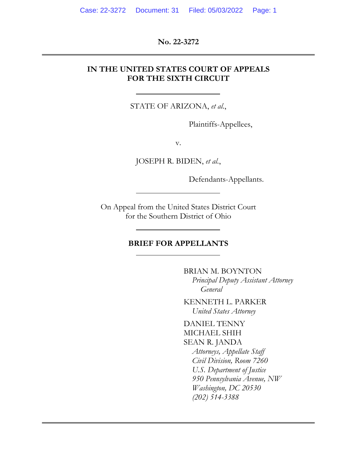**No. 22-3272** 

### **IN THE UNITED STATES COURT OF APPEALS FOR THE SIXTH CIRCUIT**

STATE OF ARIZONA, *et al.*,

Plaintiffs-Appellees,

v.

JOSEPH R. BIDEN, *et al.*,

Defendants-Appellants.

On Appeal from the United States District Court for the Southern District of Ohio

#### **BRIEF FOR APPELLANTS**

BRIAN M. BOYNTON *Principal Deputy Assistant Attorney General* 

KENNETH L. PARKER *United States Attorney* 

DANIEL TENNY MICHAEL SHIH SEAN R. JANDA *Attorneys, Appellate Staff Civil Division, Room 7260 U.S. Department of Justice 950 Pennsylvania Avenue, NW Washington, DC 20530 (202) 514-3388*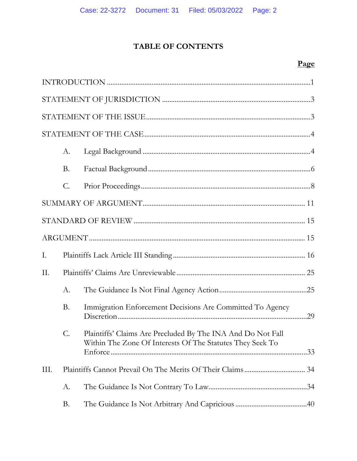# TABLE OF CONTENTS

# Page

|      | А.        |                                                                                                                          |  |
|------|-----------|--------------------------------------------------------------------------------------------------------------------------|--|
|      | <b>B.</b> |                                                                                                                          |  |
|      | C.        |                                                                                                                          |  |
|      |           |                                                                                                                          |  |
|      |           |                                                                                                                          |  |
|      |           |                                                                                                                          |  |
| I.   |           |                                                                                                                          |  |
| II.  |           |                                                                                                                          |  |
|      | $A$ .     |                                                                                                                          |  |
|      | <b>B.</b> | Immigration Enforcement Decisions Are Committed To Agency                                                                |  |
|      | C.        | Plaintiffs' Claims Are Precluded By The INA And Do Not Fall<br>Within The Zone Of Interests Of The Statutes They Seek To |  |
| III. |           |                                                                                                                          |  |
|      | А.        |                                                                                                                          |  |
|      | В.        |                                                                                                                          |  |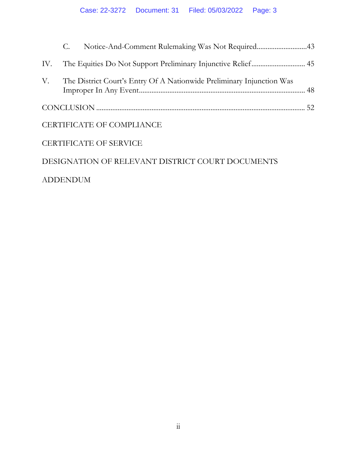| IV. |                                                                       |  |
|-----|-----------------------------------------------------------------------|--|
| V.  | The District Court's Entry Of A Nationwide Preliminary Injunction Was |  |
|     |                                                                       |  |
|     | <b>CERTIFICATE OF COMPLIANCE</b>                                      |  |
|     | <b>CERTIFICATE OF SERVICE</b>                                         |  |
|     | DESIGNATION OF RELEVANT DISTRICT COURT DOCUMENTS                      |  |
|     | <b>ADDENDUM</b>                                                       |  |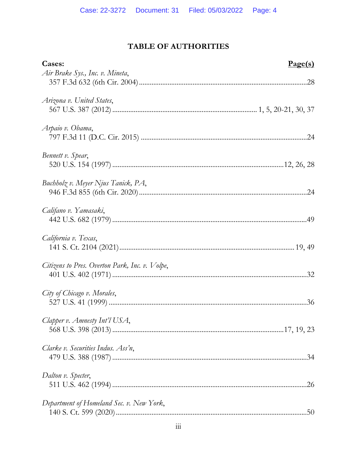# TABLE OF AUTHORITIES

| Cases:<br>Air Brake Sys., Inc. v. Mineta,      | Page(s) |
|------------------------------------------------|---------|
| Arizona v. United States,                      |         |
| Arpaio v. Obama,                               |         |
| Bennett v. Spear,                              |         |
| Buchholz v. Meyer Njus Tanick, PA,             |         |
| Califano v. Yamasaki,                          |         |
| California v. Texas,                           |         |
| Citizens to Pres. Overton Park, Inc. v. Volpe, |         |
| City of Chicago v. Morales,                    |         |
| Clapper v. Amnesty Int'l USA,                  |         |
| Clarke v. Securities Indus. Ass'n,             |         |
| Dalton v. Specter,                             |         |
| Department of Homeland Sec. v. New York,       |         |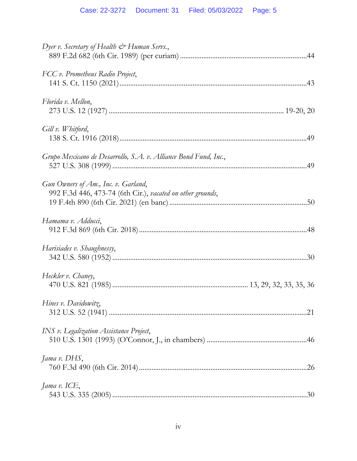| Dyer v. Secretary of Health & Human Servs.,                                                       |
|---------------------------------------------------------------------------------------------------|
| FCC v. Prometheus Radio Project,                                                                  |
| Florida v. Mellon,                                                                                |
| Gill v. Whitford,                                                                                 |
| Grupo Mexicano de Desarrollo, S.A. v. Alliance Bond Fund, Inc.,                                   |
| Gun Owners of Am., Inc. v. Garland,<br>992 F.3d 446, 473-74 (6th Cir.), vacated on other grounds, |
| Hamama v. Adducci,                                                                                |
| Harisiades v. Shaughnessy,                                                                        |
| Heckler v. Chaney,                                                                                |
| Hines v. Davidowitz,                                                                              |
| INS v. Legalization Assistance Project,                                                           |
| Jama v. DHS,                                                                                      |
| Jama v. ICE,                                                                                      |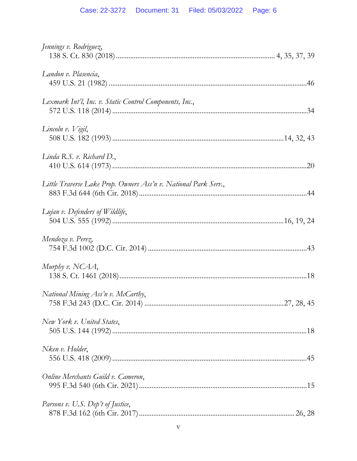| Jennings v. Rodriguez,                                          |  |
|-----------------------------------------------------------------|--|
| Landon v. Plasencia,                                            |  |
| Lexmark Int'l, Inc. v. Static Control Components, Inc.,         |  |
| Lincoln v. Vigil,                                               |  |
| Linda R.S. $v$ . Richard D.,                                    |  |
| Little Traverse Lake Prop. Owners Ass'n v. National Park Serv., |  |
| Lujan v. Defenders of Wildlife,                                 |  |
| Mendoza v. Perez,                                               |  |
| Murphy $v. NCAA$ ,                                              |  |
| National Mining Ass'n v. McCarthy,                              |  |
| New York v. United States,                                      |  |
| Nken v. Holder,                                                 |  |
| Online Merchants Guild v. Cameron,                              |  |
| Parsons v. U.S. Dep't of Justice,                               |  |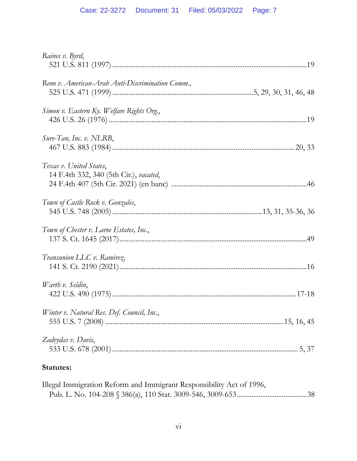| Raines v. Byrd,                                                   |  |
|-------------------------------------------------------------------|--|
| Reno v. American-Arab Anti-Discrimination Comm.,                  |  |
| Simon v. Eastern Ky. Welfare Rights Org.,                         |  |
| Sure-Tan, Inc. v. NLRB,                                           |  |
| Texas v. United States,<br>14 F.4th 332, 340 (5th Cir.), vacated, |  |
| Town of Castle Rock v. Gonzales,                                  |  |
| Town of Chester v. Laroe Estates, Inc.,                           |  |
| Transunion LLC v. Ramirez,                                        |  |
| Warth v. Seldin,                                                  |  |
| Winter v. Natural Res. Def. Council, Inc.,                        |  |
| Zadvydas v. Davis,                                                |  |

# **Statutes:**

| Illegal Immigration Reform and Immigrant Responsibility Act of 1996, |  |
|----------------------------------------------------------------------|--|
|                                                                      |  |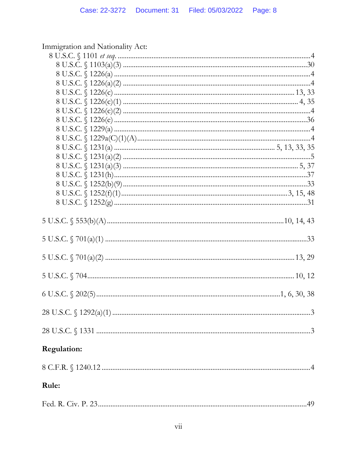| Immigration and Nationality Act: |  |
|----------------------------------|--|
|                                  |  |
|                                  |  |
|                                  |  |
|                                  |  |
|                                  |  |
|                                  |  |
|                                  |  |
|                                  |  |
|                                  |  |
|                                  |  |
|                                  |  |
|                                  |  |
|                                  |  |
|                                  |  |
|                                  |  |
|                                  |  |
|                                  |  |
|                                  |  |
|                                  |  |
|                                  |  |
|                                  |  |
|                                  |  |
|                                  |  |
|                                  |  |
| <b>Regulation:</b>               |  |
|                                  |  |
| Rule:                            |  |
|                                  |  |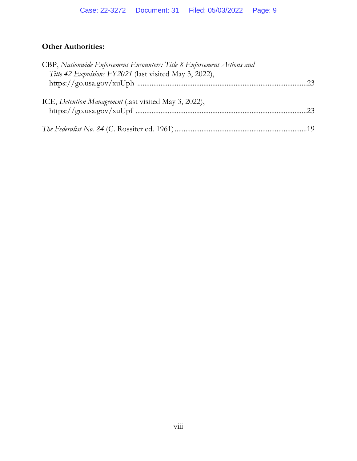## **Other Authorities:**

| CBP, Nationwide Enforcement Encounters: Title 8 Enforcement Actions and<br>Title 42 Expulsions FY2021 (last visited May 3, 2022), |    |
|-----------------------------------------------------------------------------------------------------------------------------------|----|
|                                                                                                                                   | 23 |
| ICE, Detention Management (last visited May 3, 2022),                                                                             | 23 |
|                                                                                                                                   |    |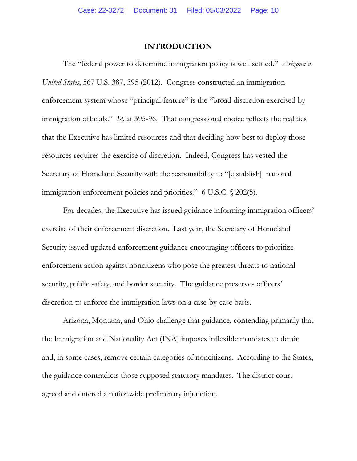#### **INTRODUCTION**

The "federal power to determine immigration policy is well settled." *Arizona v. United States*, 567 U.S. 387, 395 (2012). Congress constructed an immigration enforcement system whose "principal feature" is the "broad discretion exercised by immigration officials." *Id.* at 395-96. That congressional choice reflects the realities that the Executive has limited resources and that deciding how best to deploy those resources requires the exercise of discretion. Indeed, Congress has vested the Secretary of Homeland Security with the responsibility to "[e]stablish[] national immigration enforcement policies and priorities." 6 U.S.C. § 202(5).

For decades, the Executive has issued guidance informing immigration officers' exercise of their enforcement discretion. Last year, the Secretary of Homeland Security issued updated enforcement guidance encouraging officers to prioritize enforcement action against noncitizens who pose the greatest threats to national security, public safety, and border security. The guidance preserves officers' discretion to enforce the immigration laws on a case-by-case basis.

Arizona, Montana, and Ohio challenge that guidance, contending primarily that the Immigration and Nationality Act (INA) imposes inflexible mandates to detain and, in some cases, remove certain categories of noncitizens. According to the States, the guidance contradicts those supposed statutory mandates. The district court agreed and entered a nationwide preliminary injunction.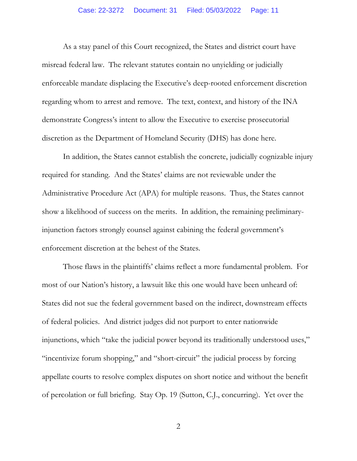As a stay panel of this Court recognized, the States and district court have misread federal law. The relevant statutes contain no unyielding or judicially enforceable mandate displacing the Executive's deep-rooted enforcement discretion regarding whom to arrest and remove. The text, context, and history of the INA demonstrate Congress's intent to allow the Executive to exercise prosecutorial discretion as the Department of Homeland Security (DHS) has done here.

In addition, the States cannot establish the concrete, judicially cognizable injury required for standing. And the States' claims are not reviewable under the Administrative Procedure Act (APA) for multiple reasons. Thus, the States cannot show a likelihood of success on the merits. In addition, the remaining preliminaryinjunction factors strongly counsel against cabining the federal government's enforcement discretion at the behest of the States.

Those flaws in the plaintiffs' claims reflect a more fundamental problem. For most of our Nation's history, a lawsuit like this one would have been unheard of: States did not sue the federal government based on the indirect, downstream effects of federal policies. And district judges did not purport to enter nationwide injunctions, which "take the judicial power beyond its traditionally understood uses," "incentivize forum shopping," and "short-circuit" the judicial process by forcing appellate courts to resolve complex disputes on short notice and without the benefit of percolation or full briefing. Stay Op. 19 (Sutton, C.J., concurring). Yet over the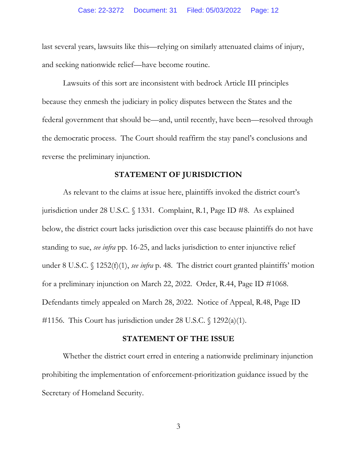last several years, lawsuits like this—relying on similarly attenuated claims of injury, and seeking nationwide relief—have become routine.

Lawsuits of this sort are inconsistent with bedrock Article III principles because they enmesh the judiciary in policy disputes between the States and the federal government that should be—and, until recently, have been—resolved through the democratic process. The Court should reaffirm the stay panel's conclusions and reverse the preliminary injunction.

#### **STATEMENT OF JURISDICTION**

As relevant to the claims at issue here, plaintiffs invoked the district court's jurisdiction under 28 U.S.C. § 1331. Complaint, R.1, Page ID #8. As explained below, the district court lacks jurisdiction over this case because plaintiffs do not have standing to sue, *see infra* pp. 16-25, and lacks jurisdiction to enter injunctive relief under 8 U.S.C. § 1252(f)(1), *see infra* p. 48. The district court granted plaintiffs' motion for a preliminary injunction on March 22, 2022. Order, R.44, Page ID #1068. Defendants timely appealed on March 28, 2022. Notice of Appeal, R.48, Page ID #1156. This Court has jurisdiction under 28 U.S.C. § 1292(a)(1).

### **STATEMENT OF THE ISSUE**

Whether the district court erred in entering a nationwide preliminary injunction prohibiting the implementation of enforcement-prioritization guidance issued by the Secretary of Homeland Security.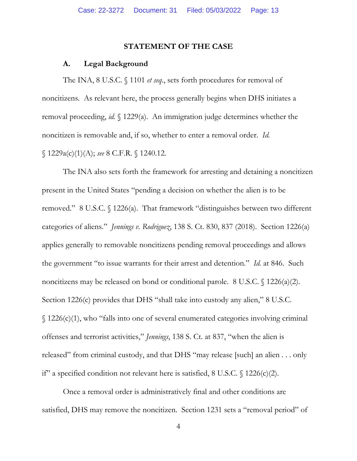#### **STATEMENT OF THE CASE**

#### **A. Legal Background**

The INA, 8 U.S.C. § 1101 *et seq.*, sets forth procedures for removal of noncitizens. As relevant here, the process generally begins when DHS initiates a removal proceeding, *id.* § 1229(a). An immigration judge determines whether the noncitizen is removable and, if so, whether to enter a removal order. *Id.* § 1229a(c)(1)(A); *see* 8 C.F.R. § 1240.12.

The INA also sets forth the framework for arresting and detaining a noncitizen present in the United States "pending a decision on whether the alien is to be removed." 8 U.S.C. § 1226(a). That framework "distinguishes between two different categories of aliens." *Jennings v. Rodriguez*, 138 S. Ct. 830, 837 (2018). Section 1226(a) applies generally to removable noncitizens pending removal proceedings and allows the government "to issue warrants for their arrest and detention." *Id.* at 846. Such noncitizens may be released on bond or conditional parole. 8 U.S.C.  $\{(1226(a)(2))\}$ . Section 1226(c) provides that DHS "shall take into custody any alien," 8 U.S.C. § 1226(c)(1), who "falls into one of several enumerated categories involving criminal offenses and terrorist activities," *Jennings*, 138 S. Ct. at 837, "when the alien is released" from criminal custody, and that DHS "may release [such] an alien . . . only if" a specified condition not relevant here is satisfied,  $8 \text{ U.S.C. } \frac{6}{5} \cdot 1226(c)(2)$ .

Once a removal order is administratively final and other conditions are satisfied, DHS may remove the noncitizen. Section 1231 sets a "removal period" of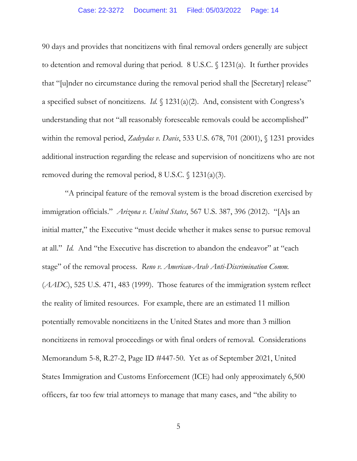90 days and provides that noncitizens with final removal orders generally are subject to detention and removal during that period. 8 U.S.C. § 1231(a). It further provides that "[u]nder no circumstance during the removal period shall the [Secretary] release" a specified subset of noncitizens. *Id.* § 1231(a)(2). And, consistent with Congress's understanding that not "all reasonably foreseeable removals could be accomplished" within the removal period, *Zadvydas v. Davis*, 533 U.S. 678, 701 (2001), § 1231 provides additional instruction regarding the release and supervision of noncitizens who are not removed during the removal period,  $8 \text{ U.S.C. } \frac{6}{7} \cdot 1231 \cdot (a)(3)$ .

 "A principal feature of the removal system is the broad discretion exercised by immigration officials." *Arizona v. United States*, 567 U.S. 387, 396 (2012). "[A]s an initial matter," the Executive "must decide whether it makes sense to pursue removal at all." *Id.* And "the Executive has discretion to abandon the endeavor" at "each stage" of the removal process. *Reno v. American-Arab Anti-Discrimination Comm.*  (*AADC*), 525 U.S. 471, 483 (1999). Those features of the immigration system reflect the reality of limited resources. For example, there are an estimated 11 million potentially removable noncitizens in the United States and more than 3 million noncitizens in removal proceedings or with final orders of removal. Considerations Memorandum 5-8, R.27-2, Page ID #447-50. Yet as of September 2021, United States Immigration and Customs Enforcement (ICE) had only approximately 6,500 officers, far too few trial attorneys to manage that many cases, and "the ability to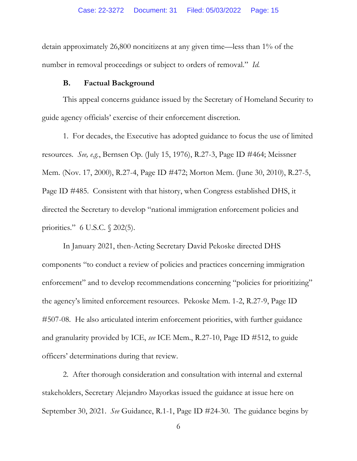detain approximately 26,800 noncitizens at any given time—less than 1% of the number in removal proceedings or subject to orders of removal." *Id.*

### **B. Factual Background**

This appeal concerns guidance issued by the Secretary of Homeland Security to guide agency officials' exercise of their enforcement discretion.

1. For decades, the Executive has adopted guidance to focus the use of limited resources. *See, e.g.*, Bernsen Op. (July 15, 1976), R.27-3, Page ID #464; Meissner Mem. (Nov. 17, 2000), R.27-4, Page ID #472; Morton Mem. (June 30, 2010), R.27-5, Page ID #485. Consistent with that history, when Congress established DHS, it directed the Secretary to develop "national immigration enforcement policies and priorities." 6 U.S.C. § 202(5).

In January 2021, then-Acting Secretary David Pekoske directed DHS components "to conduct a review of policies and practices concerning immigration enforcement" and to develop recommendations concerning "policies for prioritizing" the agency's limited enforcement resources. Pekoske Mem. 1-2, R.27-9, Page ID #507-08. He also articulated interim enforcement priorities, with further guidance and granularity provided by ICE, *see* ICE Mem., R.27-10, Page ID #512, to guide officers' determinations during that review.

2. After thorough consideration and consultation with internal and external stakeholders, Secretary Alejandro Mayorkas issued the guidance at issue here on September 30, 2021. *See* Guidance, R.1-1, Page ID #24-30. The guidance begins by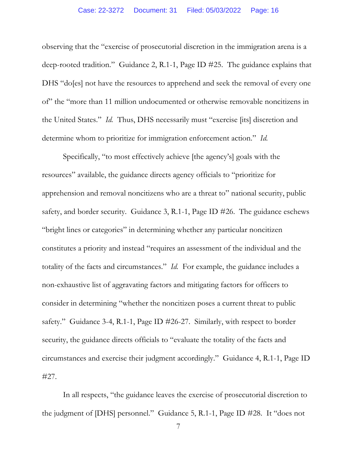observing that the "exercise of prosecutorial discretion in the immigration arena is a deep-rooted tradition." Guidance 2, R.1-1, Page ID #25. The guidance explains that DHS "do[es] not have the resources to apprehend and seek the removal of every one of" the "more than 11 million undocumented or otherwise removable noncitizens in the United States." *Id.* Thus, DHS necessarily must "exercise [its] discretion and determine whom to prioritize for immigration enforcement action." *Id.* 

Specifically, "to most effectively achieve [the agency's] goals with the resources" available, the guidance directs agency officials to "prioritize for apprehension and removal noncitizens who are a threat to" national security, public safety, and border security. Guidance 3, R.1-1, Page ID #26. The guidance eschews "bright lines or categories" in determining whether any particular noncitizen constitutes a priority and instead "requires an assessment of the individual and the totality of the facts and circumstances." *Id.* For example, the guidance includes a non-exhaustive list of aggravating factors and mitigating factors for officers to consider in determining "whether the noncitizen poses a current threat to public safety." Guidance 3-4, R.1-1, Page ID #26-27. Similarly, with respect to border security, the guidance directs officials to "evaluate the totality of the facts and circumstances and exercise their judgment accordingly." Guidance 4, R.1-1, Page ID #27.

In all respects, "the guidance leaves the exercise of prosecutorial discretion to the judgment of [DHS] personnel." Guidance 5, R.1-1, Page ID #28. It "does not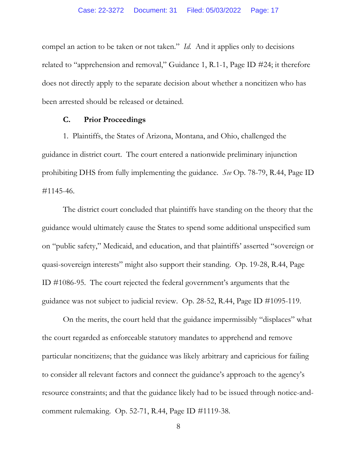compel an action to be taken or not taken." *Id.* And it applies only to decisions related to "apprehension and removal," Guidance 1, R.1-1, Page ID #24; it therefore does not directly apply to the separate decision about whether a noncitizen who has been arrested should be released or detained.

### **C. Prior Proceedings**

1. Plaintiffs, the States of Arizona, Montana, and Ohio, challenged the guidance in district court. The court entered a nationwide preliminary injunction prohibiting DHS from fully implementing the guidance. *See* Op. 78-79, R.44, Page ID #1145-46.

The district court concluded that plaintiffs have standing on the theory that the guidance would ultimately cause the States to spend some additional unspecified sum on "public safety," Medicaid, and education, and that plaintiffs' asserted "sovereign or quasi-sovereign interests" might also support their standing. Op. 19-28, R.44, Page ID #1086-95. The court rejected the federal government's arguments that the guidance was not subject to judicial review. Op. 28-52, R.44, Page ID #1095-119.

On the merits, the court held that the guidance impermissibly "displaces" what the court regarded as enforceable statutory mandates to apprehend and remove particular noncitizens; that the guidance was likely arbitrary and capricious for failing to consider all relevant factors and connect the guidance's approach to the agency's resource constraints; and that the guidance likely had to be issued through notice-andcomment rulemaking. Op. 52-71, R.44, Page ID #1119-38.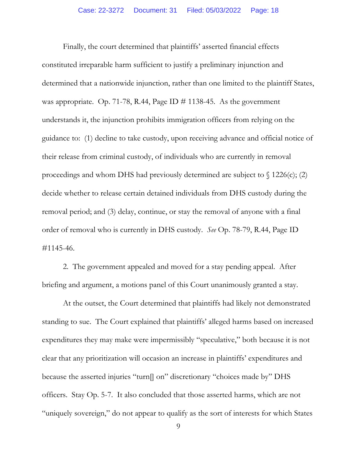Finally, the court determined that plaintiffs' asserted financial effects constituted irreparable harm sufficient to justify a preliminary injunction and determined that a nationwide injunction, rather than one limited to the plaintiff States, was appropriate. Op. 71-78, R.44, Page ID  $\#$  1138-45. As the government understands it, the injunction prohibits immigration officers from relying on the guidance to: (1) decline to take custody, upon receiving advance and official notice of their release from criminal custody, of individuals who are currently in removal proceedings and whom DHS had previously determined are subject to  $\S$  1226(c); (2) decide whether to release certain detained individuals from DHS custody during the removal period; and (3) delay, continue, or stay the removal of anyone with a final order of removal who is currently in DHS custody. *See* Op. 78-79, R.44, Page ID #1145-46.

2. The government appealed and moved for a stay pending appeal. After briefing and argument, a motions panel of this Court unanimously granted a stay.

At the outset, the Court determined that plaintiffs had likely not demonstrated standing to sue. The Court explained that plaintiffs' alleged harms based on increased expenditures they may make were impermissibly "speculative," both because it is not clear that any prioritization will occasion an increase in plaintiffs' expenditures and because the asserted injuries "turn[] on" discretionary "choices made by" DHS officers. Stay Op. 5-7. It also concluded that those asserted harms, which are not "uniquely sovereign," do not appear to qualify as the sort of interests for which States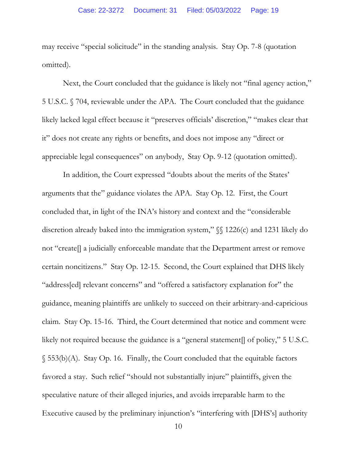may receive "special solicitude" in the standing analysis. Stay Op. 7-8 (quotation omitted).

Next, the Court concluded that the guidance is likely not "final agency action," 5 U.S.C. § 704, reviewable under the APA. The Court concluded that the guidance likely lacked legal effect because it "preserves officials' discretion," "makes clear that it" does not create any rights or benefits, and does not impose any "direct or appreciable legal consequences" on anybody, Stay Op. 9-12 (quotation omitted).

In addition, the Court expressed "doubts about the merits of the States' arguments that the" guidance violates the APA. Stay Op. 12. First, the Court concluded that, in light of the INA's history and context and the "considerable discretion already baked into the immigration system," §§ 1226(c) and 1231 likely do not "create[] a judicially enforceable mandate that the Department arrest or remove certain noncitizens." Stay Op. 12-15. Second, the Court explained that DHS likely "address[ed] relevant concerns" and "offered a satisfactory explanation for" the guidance, meaning plaintiffs are unlikely to succeed on their arbitrary-and-capricious claim. Stay Op. 15-16. Third, the Court determined that notice and comment were likely not required because the guidance is a "general statement. of policy" 5 U.S.C. § 553(b)(A). Stay Op. 16. Finally, the Court concluded that the equitable factors favored a stay. Such relief "should not substantially injure" plaintiffs, given the speculative nature of their alleged injuries, and avoids irreparable harm to the Executive caused by the preliminary injunction's "interfering with [DHS's] authority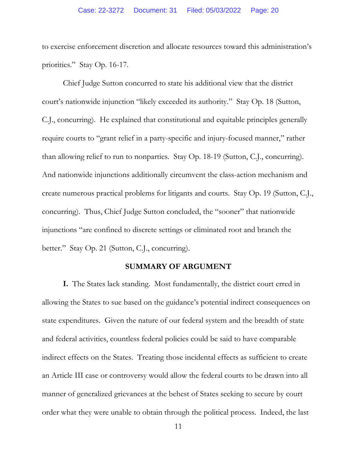to exercise enforcement discretion and allocate resources toward this administration's priorities." Stay Op. 16-17.

Chief Judge Sutton concurred to state his additional view that the district court's nationwide injunction "likely exceeded its authority." Stay Op. 18 (Sutton, C.J., concurring). He explained that constitutional and equitable principles generally require courts to "grant relief in a party-specific and injury-focused manner," rather than allowing relief to run to nonparties. Stay Op. 18-19 (Sutton, C.J., concurring). And nationwide injunctions additionally circumvent the class-action mechanism and create numerous practical problems for litigants and courts. Stay Op. 19 (Sutton, C.J., concurring). Thus, Chief Judge Sutton concluded, the "sooner" that nationwide injunctions "are confined to discrete settings or eliminated root and branch the better." Stay Op. 21 (Sutton, C.J., concurring).

#### **SUMMARY OF ARGUMENT**

**I.** The States lack standing. Most fundamentally, the district court erred in allowing the States to sue based on the guidance's potential indirect consequences on state expenditures. Given the nature of our federal system and the breadth of state and federal activities, countless federal policies could be said to have comparable indirect effects on the States. Treating those incidental effects as sufficient to create an Article III case or controversy would allow the federal courts to be drawn into all manner of generalized grievances at the behest of States seeking to secure by court order what they were unable to obtain through the political process. Indeed, the last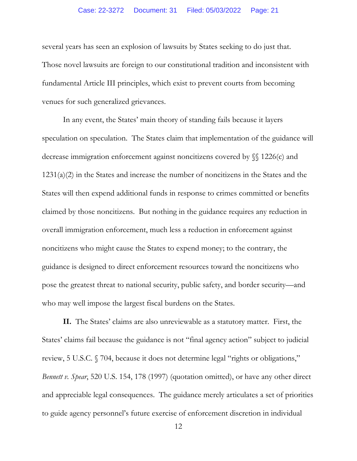several years has seen an explosion of lawsuits by States seeking to do just that. Those novel lawsuits are foreign to our constitutional tradition and inconsistent with fundamental Article III principles, which exist to prevent courts from becoming venues for such generalized grievances.

In any event, the States' main theory of standing fails because it layers speculation on speculation. The States claim that implementation of the guidance will decrease immigration enforcement against noncitizens covered by §§ 1226(c) and 1231(a)(2) in the States and increase the number of noncitizens in the States and the States will then expend additional funds in response to crimes committed or benefits claimed by those noncitizens. But nothing in the guidance requires any reduction in overall immigration enforcement, much less a reduction in enforcement against noncitizens who might cause the States to expend money; to the contrary, the guidance is designed to direct enforcement resources toward the noncitizens who pose the greatest threat to national security, public safety, and border security—and who may well impose the largest fiscal burdens on the States.

**II.** The States' claims are also unreviewable as a statutory matter. First, the States' claims fail because the guidance is not "final agency action" subject to judicial review, 5 U.S.C. § 704, because it does not determine legal "rights or obligations," *Bennett v. Spear*, 520 U.S. 154, 178 (1997) (quotation omitted), or have any other direct and appreciable legal consequences. The guidance merely articulates a set of priorities to guide agency personnel's future exercise of enforcement discretion in individual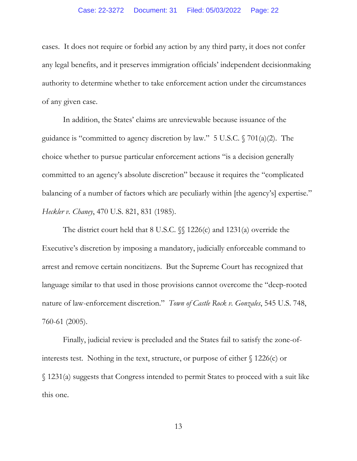cases. It does not require or forbid any action by any third party, it does not confer any legal benefits, and it preserves immigration officials' independent decisionmaking authority to determine whether to take enforcement action under the circumstances of any given case.

In addition, the States' claims are unreviewable because issuance of the guidance is "committed to agency discretion by law." 5 U.S.C. § 701(a)(2). The choice whether to pursue particular enforcement actions "is a decision generally committed to an agency's absolute discretion" because it requires the "complicated balancing of a number of factors which are peculiarly within [the agency's] expertise." *Heckler v. Chaney*, 470 U.S. 821, 831 (1985).

The district court held that 8 U.S.C.  $\mathcal{S}$  1226(c) and 1231(a) override the Executive's discretion by imposing a mandatory, judicially enforceable command to arrest and remove certain noncitizens. But the Supreme Court has recognized that language similar to that used in those provisions cannot overcome the "deep-rooted nature of law-enforcement discretion." *Town of Castle Rock v. Gonzales*, 545 U.S. 748, 760-61 (2005).

Finally, judicial review is precluded and the States fail to satisfy the zone-ofinterests test. Nothing in the text, structure, or purpose of either  $\int$  1226(c) or § 1231(a) suggests that Congress intended to permit States to proceed with a suit like this one.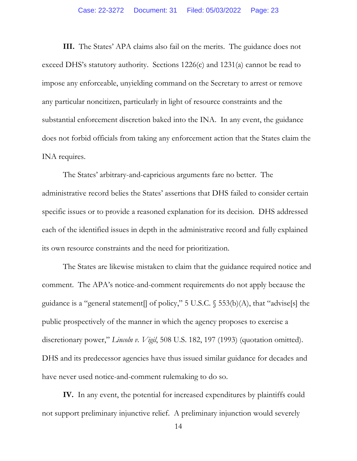**III.** The States' APA claims also fail on the merits. The guidance does not exceed DHS's statutory authority. Sections 1226(c) and 1231(a) cannot be read to impose any enforceable, unyielding command on the Secretary to arrest or remove any particular noncitizen, particularly in light of resource constraints and the substantial enforcement discretion baked into the INA. In any event, the guidance does not forbid officials from taking any enforcement action that the States claim the INA requires.

The States' arbitrary-and-capricious arguments fare no better. The administrative record belies the States' assertions that DHS failed to consider certain specific issues or to provide a reasoned explanation for its decision. DHS addressed each of the identified issues in depth in the administrative record and fully explained its own resource constraints and the need for prioritization.

The States are likewise mistaken to claim that the guidance required notice and comment. The APA's notice-and-comment requirements do not apply because the guidance is a "general statement[] of policy," 5 U.S.C. § 553(b)(A), that "advise[s] the public prospectively of the manner in which the agency proposes to exercise a discretionary power," *Lincoln v. Vigil*, 508 U.S. 182, 197 (1993) (quotation omitted). DHS and its predecessor agencies have thus issued similar guidance for decades and have never used notice-and-comment rulemaking to do so.

**IV.** In any event, the potential for increased expenditures by plaintiffs could not support preliminary injunctive relief. A preliminary injunction would severely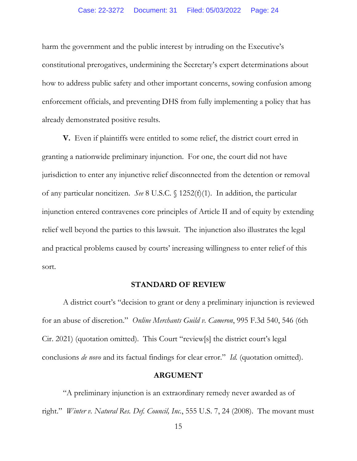harm the government and the public interest by intruding on the Executive's constitutional prerogatives, undermining the Secretary's expert determinations about how to address public safety and other important concerns, sowing confusion among enforcement officials, and preventing DHS from fully implementing a policy that has already demonstrated positive results.

**V.** Even if plaintiffs were entitled to some relief, the district court erred in granting a nationwide preliminary injunction. For one, the court did not have jurisdiction to enter any injunctive relief disconnected from the detention or removal of any particular noncitizen. *See* 8 U.S.C. § 1252(f)(1). In addition, the particular injunction entered contravenes core principles of Article II and of equity by extending relief well beyond the parties to this lawsuit. The injunction also illustrates the legal and practical problems caused by courts' increasing willingness to enter relief of this sort.

#### **STANDARD OF REVIEW**

A district court's "decision to grant or deny a preliminary injunction is reviewed for an abuse of discretion." *Online Merchants Guild v. Cameron*, 995 F.3d 540, 546 (6th Cir. 2021) (quotation omitted). This Court "review[s] the district court's legal conclusions *de novo* and its factual findings for clear error." *Id.* (quotation omitted).

#### **ARGUMENT**

"A preliminary injunction is an extraordinary remedy never awarded as of right." *Winter v. Natural Res. Def. Council, Inc.*, 555 U.S. 7, 24 (2008). The movant must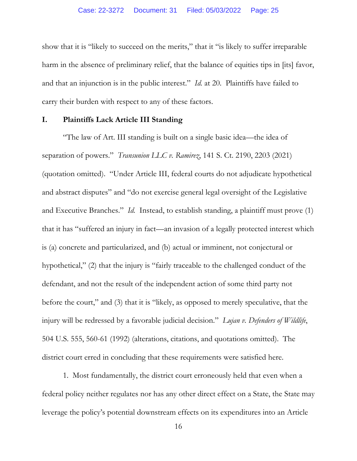show that it is "likely to succeed on the merits," that it "is likely to suffer irreparable harm in the absence of preliminary relief, that the balance of equities tips in [its] favor, and that an injunction is in the public interest." *Id.* at 20. Plaintiffs have failed to carry their burden with respect to any of these factors.

#### **I. Plaintiffs Lack Article III Standing**

"The law of Art. III standing is built on a single basic idea—the idea of separation of powers." *Transunion LLC v. Ramirez*, 141 S. Ct. 2190, 2203 (2021) (quotation omitted). "Under Article III, federal courts do not adjudicate hypothetical and abstract disputes" and "do not exercise general legal oversight of the Legislative and Executive Branches." *Id.* Instead, to establish standing, a plaintiff must prove (1) that it has "suffered an injury in fact—an invasion of a legally protected interest which is (a) concrete and particularized, and (b) actual or imminent, not conjectural or hypothetical," (2) that the injury is "fairly traceable to the challenged conduct of the defendant, and not the result of the independent action of some third party not before the court," and (3) that it is "likely, as opposed to merely speculative, that the injury will be redressed by a favorable judicial decision." *Lujan v. Defenders of Wildlife*, 504 U.S. 555, 560-61 (1992) (alterations, citations, and quotations omitted). The district court erred in concluding that these requirements were satisfied here.

1. Most fundamentally, the district court erroneously held that even when a federal policy neither regulates nor has any other direct effect on a State, the State may leverage the policy's potential downstream effects on its expenditures into an Article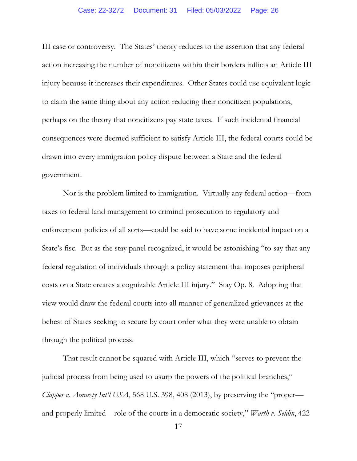III case or controversy. The States' theory reduces to the assertion that any federal action increasing the number of noncitizens within their borders inflicts an Article III injury because it increases their expenditures. Other States could use equivalent logic to claim the same thing about any action reducing their noncitizen populations, perhaps on the theory that noncitizens pay state taxes. If such incidental financial consequences were deemed sufficient to satisfy Article III, the federal courts could be drawn into every immigration policy dispute between a State and the federal government.

Nor is the problem limited to immigration. Virtually any federal action—from taxes to federal land management to criminal prosecution to regulatory and enforcement policies of all sorts—could be said to have some incidental impact on a State's fisc. But as the stay panel recognized, it would be astonishing "to say that any federal regulation of individuals through a policy statement that imposes peripheral costs on a State creates a cognizable Article III injury." Stay Op. 8. Adopting that view would draw the federal courts into all manner of generalized grievances at the behest of States seeking to secure by court order what they were unable to obtain through the political process.

That result cannot be squared with Article III, which "serves to prevent the judicial process from being used to usurp the powers of the political branches," *Clapper v. Amnesty Int'l USA*, 568 U.S. 398, 408 (2013), by preserving the "proper and properly limited—role of the courts in a democratic society," *Warth v. Seldin*, 422

<sup>17</sup>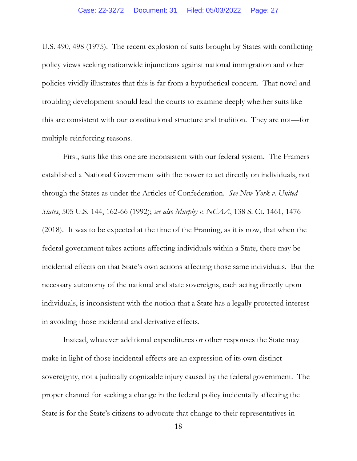U.S. 490, 498 (1975). The recent explosion of suits brought by States with conflicting policy views seeking nationwide injunctions against national immigration and other policies vividly illustrates that this is far from a hypothetical concern. That novel and troubling development should lead the courts to examine deeply whether suits like this are consistent with our constitutional structure and tradition. They are not—for multiple reinforcing reasons.

First, suits like this one are inconsistent with our federal system. The Framers established a National Government with the power to act directly on individuals, not through the States as under the Articles of Confederation. *See New York v. United States*, 505 U.S. 144, 162-66 (1992); *see also Murphy v. NCAA*, 138 S. Ct. 1461, 1476 (2018). It was to be expected at the time of the Framing, as it is now, that when the federal government takes actions affecting individuals within a State, there may be incidental effects on that State's own actions affecting those same individuals. But the necessary autonomy of the national and state sovereigns, each acting directly upon individuals, is inconsistent with the notion that a State has a legally protected interest in avoiding those incidental and derivative effects.

Instead, whatever additional expenditures or other responses the State may make in light of those incidental effects are an expression of its own distinct sovereignty, not a judicially cognizable injury caused by the federal government. The proper channel for seeking a change in the federal policy incidentally affecting the State is for the State's citizens to advocate that change to their representatives in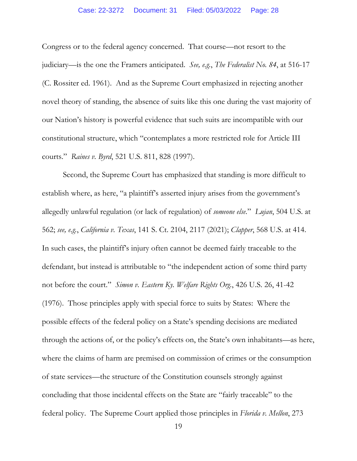Congress or to the federal agency concerned. That course—not resort to the judiciary—is the one the Framers anticipated. *See, e.g.*, *The Federalist No. 84*, at 516-17 (C. Rossiter ed. 1961). And as the Supreme Court emphasized in rejecting another novel theory of standing, the absence of suits like this one during the vast majority of our Nation's history is powerful evidence that such suits are incompatible with our constitutional structure, which "contemplates a more restricted role for Article III courts." *Raines v. Byrd*, 521 U.S. 811, 828 (1997).

Second, the Supreme Court has emphasized that standing is more difficult to establish where, as here, "a plaintiff's asserted injury arises from the government's allegedly unlawful regulation (or lack of regulation) of *someone else*." *Lujan*, 504 U.S. at 562; *see, e.g.*, *California v. Texas*, 141 S. Ct. 2104, 2117 (2021); *Clapper*, 568 U.S. at 414. In such cases, the plaintiff's injury often cannot be deemed fairly traceable to the defendant, but instead is attributable to "the independent action of some third party not before the court." *Simon v. Eastern Ky. Welfare Rights Org.*, 426 U.S. 26, 41-42 (1976). Those principles apply with special force to suits by States: Where the possible effects of the federal policy on a State's spending decisions are mediated through the actions of, or the policy's effects on, the State's own inhabitants—as here, where the claims of harm are premised on commission of crimes or the consumption of state services—the structure of the Constitution counsels strongly against concluding that those incidental effects on the State are "fairly traceable" to the federal policy. The Supreme Court applied those principles in *Florida v. Mellon*, 273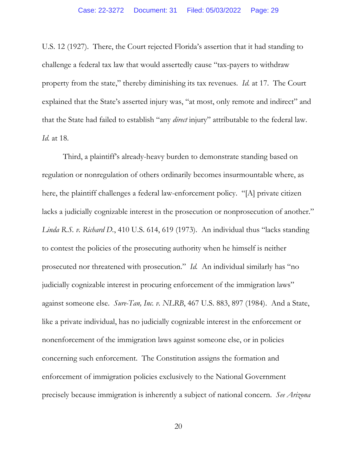U.S. 12 (1927). There, the Court rejected Florida's assertion that it had standing to challenge a federal tax law that would assertedly cause "tax-payers to withdraw property from the state," thereby diminishing its tax revenues. *Id.* at 17. The Court explained that the State's asserted injury was, "at most, only remote and indirect" and that the State had failed to establish "any *direct* injury" attributable to the federal law. *Id.* at 18.

Third, a plaintiff's already-heavy burden to demonstrate standing based on regulation or nonregulation of others ordinarily becomes insurmountable where, as here, the plaintiff challenges a federal law-enforcement policy. "[A] private citizen lacks a judicially cognizable interest in the prosecution or nonprosecution of another." *Linda R.S. v. Richard D.*, 410 U.S. 614, 619 (1973). An individual thus "lacks standing to contest the policies of the prosecuting authority when he himself is neither prosecuted nor threatened with prosecution." *Id.* An individual similarly has "no judicially cognizable interest in procuring enforcement of the immigration laws" against someone else. *Sure-Tan, Inc. v. NLRB*, 467 U.S. 883, 897 (1984). And a State, like a private individual, has no judicially cognizable interest in the enforcement or nonenforcement of the immigration laws against someone else, or in policies concerning such enforcement. The Constitution assigns the formation and enforcement of immigration policies exclusively to the National Government precisely because immigration is inherently a subject of national concern. *See Arizona*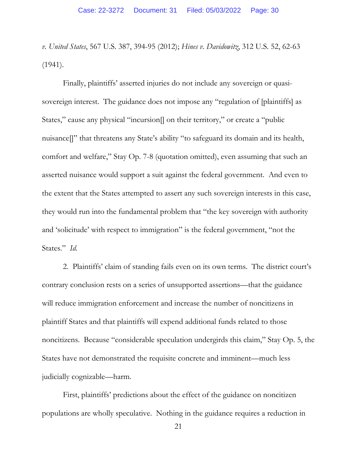*v. United States*, 567 U.S. 387, 394-95 (2012); *Hines v. Davidowitz*, 312 U.S. 52, 62-63 (1941).

Finally, plaintiffs' asserted injuries do not include any sovereign or quasisovereign interest. The guidance does not impose any "regulation of [plaintiffs] as States," cause any physical "incursion<sup>[]</sup> on their territory," or create a "public nuisance<sup>[]"</sup> that threatens any State's ability "to safeguard its domain and its health, comfort and welfare," Stay Op. 7-8 (quotation omitted), even assuming that such an asserted nuisance would support a suit against the federal government. And even to the extent that the States attempted to assert any such sovereign interests in this case, they would run into the fundamental problem that "the key sovereign with authority and 'solicitude' with respect to immigration" is the federal government, "not the States." *Id.*

2. Plaintiffs' claim of standing fails even on its own terms. The district court's contrary conclusion rests on a series of unsupported assertions—that the guidance will reduce immigration enforcement and increase the number of noncitizens in plaintiff States and that plaintiffs will expend additional funds related to those noncitizens. Because "considerable speculation undergirds this claim," Stay Op. 5, the States have not demonstrated the requisite concrete and imminent—much less judicially cognizable—harm.

First, plaintiffs' predictions about the effect of the guidance on noncitizen populations are wholly speculative. Nothing in the guidance requires a reduction in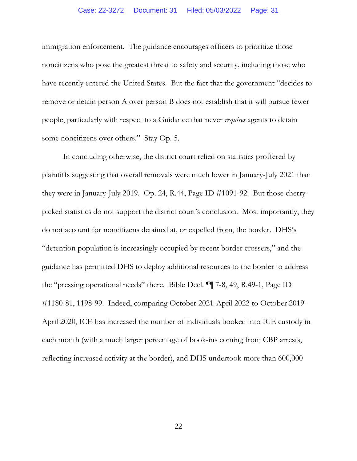#### Case: 22-3272 Document: 31 Filed: 05/03/2022 Page: 31

immigration enforcement. The guidance encourages officers to prioritize those noncitizens who pose the greatest threat to safety and security, including those who have recently entered the United States. But the fact that the government "decides to remove or detain person A over person B does not establish that it will pursue fewer people, particularly with respect to a Guidance that never *requires* agents to detain some noncitizens over others." Stay Op. 5.

In concluding otherwise, the district court relied on statistics proffered by plaintiffs suggesting that overall removals were much lower in January-July 2021 than they were in January-July 2019. Op. 24, R.44, Page ID #1091-92. But those cherrypicked statistics do not support the district court's conclusion. Most importantly, they do not account for noncitizens detained at, or expelled from, the border. DHS's "detention population is increasingly occupied by recent border crossers," and the guidance has permitted DHS to deploy additional resources to the border to address the "pressing operational needs" there. Bible Decl. ¶¶ 7-8, 49, R.49-1, Page ID #1180-81, 1198-99. Indeed, comparing October 2021-April 2022 to October 2019- April 2020, ICE has increased the number of individuals booked into ICE custody in each month (with a much larger percentage of book-ins coming from CBP arrests, reflecting increased activity at the border), and DHS undertook more than 600,000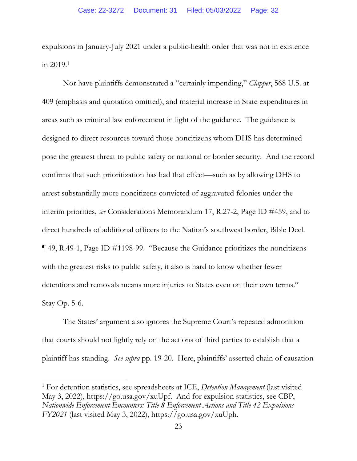expulsions in January-July 2021 under a public-health order that was not in existence in  $2019.1$ 

Nor have plaintiffs demonstrated a "certainly impending," *Clapper*, 568 U.S. at 409 (emphasis and quotation omitted), and material increase in State expenditures in areas such as criminal law enforcement in light of the guidance. The guidance is designed to direct resources toward those noncitizens whom DHS has determined pose the greatest threat to public safety or national or border security. And the record confirms that such prioritization has had that effect—such as by allowing DHS to arrest substantially more noncitizens convicted of aggravated felonies under the interim priorities, *see* Considerations Memorandum 17, R.27-2, Page ID #459, and to direct hundreds of additional officers to the Nation's southwest border, Bible Decl. ¶ 49, R.49-1, Page ID #1198-99. "Because the Guidance prioritizes the noncitizens with the greatest risks to public safety, it also is hard to know whether fewer detentions and removals means more injuries to States even on their own terms." Stay Op. 5-6.

The States' argument also ignores the Supreme Court's repeated admonition that courts should not lightly rely on the actions of third parties to establish that a plaintiff has standing. *See supra* pp. 19-20. Here, plaintiffs' asserted chain of causation

 $\overline{a}$ 

<sup>&</sup>lt;sup>1</sup> For detention statistics, see spreadsheets at ICE, *Detention Management* (last visited May 3, 2022), https://go.usa.gov/xuUpf. And for expulsion statistics, see CBP, *Nationwide Enforcement Encounters: Title 8 Enforcement Actions and Title 42 Expulsions FY2021* (last visited May 3, 2022), https://go.usa.gov/xuUph.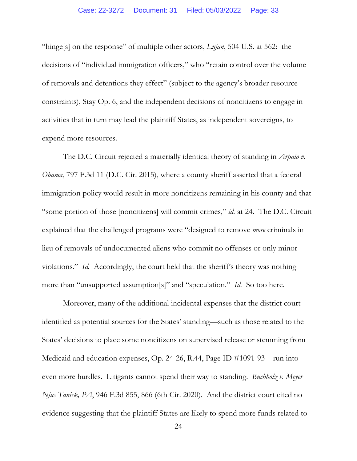"hinge[s] on the response" of multiple other actors, *Lujan*, 504 U.S. at 562: the decisions of "individual immigration officers," who "retain control over the volume of removals and detentions they effect" (subject to the agency's broader resource constraints), Stay Op. 6, and the independent decisions of noncitizens to engage in activities that in turn may lead the plaintiff States, as independent sovereigns, to expend more resources.

The D.C. Circuit rejected a materially identical theory of standing in *Arpaio v. Obama*, 797 F.3d 11 (D.C. Cir. 2015), where a county sheriff asserted that a federal immigration policy would result in more noncitizens remaining in his county and that "some portion of those [noncitizens] will commit crimes," *id.* at 24. The D.C. Circuit explained that the challenged programs were "designed to remove *more* criminals in lieu of removals of undocumented aliens who commit no offenses or only minor violations." *Id.* Accordingly, the court held that the sheriff's theory was nothing more than "unsupported assumption[s]" and "speculation." *Id.* So too here.

Moreover, many of the additional incidental expenses that the district court identified as potential sources for the States' standing—such as those related to the States' decisions to place some noncitizens on supervised release or stemming from Medicaid and education expenses, Op. 24-26, R.44, Page ID #1091-93—run into even more hurdles. Litigants cannot spend their way to standing. *Buchholz v. Meyer Njus Tanick, PA*, 946 F.3d 855, 866 (6th Cir. 2020). And the district court cited no evidence suggesting that the plaintiff States are likely to spend more funds related to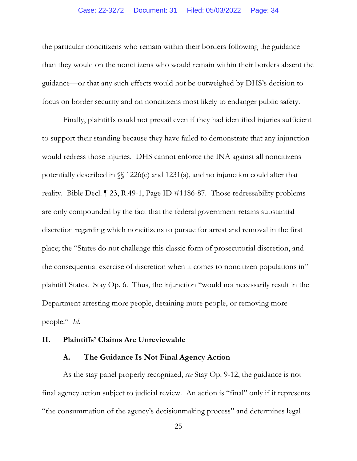the particular noncitizens who remain within their borders following the guidance than they would on the noncitizens who would remain within their borders absent the guidance—or that any such effects would not be outweighed by DHS's decision to focus on border security and on noncitizens most likely to endanger public safety.

Finally, plaintiffs could not prevail even if they had identified injuries sufficient to support their standing because they have failed to demonstrate that any injunction would redress those injuries. DHS cannot enforce the INA against all noncitizens potentially described in  $\mathcal{S}$  1226(c) and 1231(a), and no injunction could alter that reality. Bible Decl. ¶ 23, R.49-1, Page ID #1186-87. Those redressability problems are only compounded by the fact that the federal government retains substantial discretion regarding which noncitizens to pursue for arrest and removal in the first place; the "States do not challenge this classic form of prosecutorial discretion, and the consequential exercise of discretion when it comes to noncitizen populations in" plaintiff States. Stay Op. 6. Thus, the injunction "would not necessarily result in the Department arresting more people, detaining more people, or removing more people." *Id.*

#### **II. Plaintiffs' Claims Are Unreviewable**

#### **A. The Guidance Is Not Final Agency Action**

As the stay panel properly recognized, *see* Stay Op. 9-12, the guidance is not final agency action subject to judicial review. An action is "final" only if it represents "the consummation of the agency's decisionmaking process" and determines legal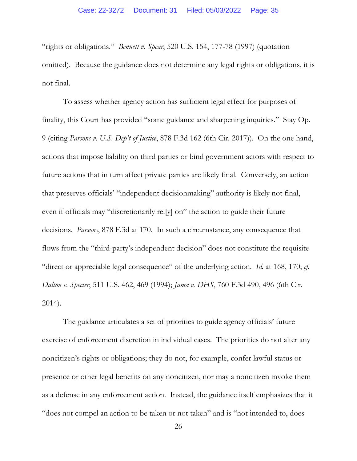"rights or obligations." *Bennett v. Spear*, 520 U.S. 154, 177-78 (1997) (quotation omitted). Because the guidance does not determine any legal rights or obligations, it is not final.

To assess whether agency action has sufficient legal effect for purposes of finality, this Court has provided "some guidance and sharpening inquiries." Stay Op. 9 (citing *Parsons v. U.S. Dep't of Justice*, 878 F.3d 162 (6th Cir. 2017)). On the one hand, actions that impose liability on third parties or bind government actors with respect to future actions that in turn affect private parties are likely final. Conversely, an action that preserves officials' "independent decisionmaking" authority is likely not final, even if officials may "discretionarily rel[y] on" the action to guide their future decisions. *Parsons*, 878 F.3d at 170. In such a circumstance, any consequence that flows from the "third-party's independent decision" does not constitute the requisite "direct or appreciable legal consequence" of the underlying action. *Id.* at 168, 170; *cf. Dalton v. Specter*, 511 U.S. 462, 469 (1994); *Jama v. DHS*, 760 F.3d 490, 496 (6th Cir. 2014).

The guidance articulates a set of priorities to guide agency officials' future exercise of enforcement discretion in individual cases. The priorities do not alter any noncitizen's rights or obligations; they do not, for example, confer lawful status or presence or other legal benefits on any noncitizen, nor may a noncitizen invoke them as a defense in any enforcement action. Instead, the guidance itself emphasizes that it "does not compel an action to be taken or not taken" and is "not intended to, does

<sup>26</sup>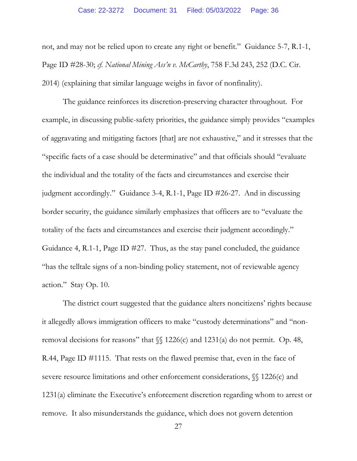not, and may not be relied upon to create any right or benefit." Guidance 5-7, R.1-1, Page ID #28-30; *cf. National Mining Ass'n v. McCarthy*, 758 F.3d 243, 252 (D.C. Cir. 2014) (explaining that similar language weighs in favor of nonfinality).

The guidance reinforces its discretion-preserving character throughout. For example, in discussing public-safety priorities, the guidance simply provides "examples of aggravating and mitigating factors [that] are not exhaustive," and it stresses that the "specific facts of a case should be determinative" and that officials should "evaluate the individual and the totality of the facts and circumstances and exercise their judgment accordingly." Guidance 3-4, R.1-1, Page ID #26-27. And in discussing border security, the guidance similarly emphasizes that officers are to "evaluate the totality of the facts and circumstances and exercise their judgment accordingly." Guidance 4, R.1-1, Page ID #27. Thus, as the stay panel concluded, the guidance "has the telltale signs of a non-binding policy statement, not of reviewable agency action." Stay Op. 10.

The district court suggested that the guidance alters noncitizens' rights because it allegedly allows immigration officers to make "custody determinations" and "nonremoval decisions for reasons" that  $\mathcal{S}$  1226(c) and 1231(a) do not permit. Op. 48, R.44, Page ID #1115. That rests on the flawed premise that, even in the face of severe resource limitations and other enforcement considerations,  $\sqrt{\ }$  1226(c) and 1231(a) eliminate the Executive's enforcement discretion regarding whom to arrest or remove. It also misunderstands the guidance, which does not govern detention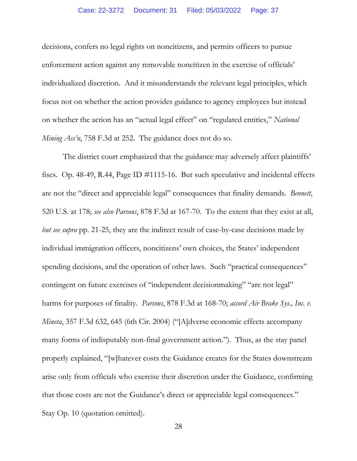decisions, confers no legal rights on noncitizens, and permits officers to pursue enforcement action against any removable noncitizen in the exercise of officials' individualized discretion. And it misunderstands the relevant legal principles, which focus not on whether the action provides guidance to agency employees but instead on whether the action has an "actual legal effect" on "regulated entities," *National Mining Ass'n*, 758 F.3d at 252. The guidance does not do so.

The district court emphasized that the guidance may adversely affect plaintiffs' fiscs. Op. 48-49, R.44, Page ID #1115-16. But such speculative and incidental effects are not the "direct and appreciable legal" consequences that finality demands. *Bennett*, 520 U.S. at 178; *see also Parsons*, 878 F.3d at 167-70. To the extent that they exist at all, *but see supra* pp. 21-25, they are the indirect result of case-by-case decisions made by individual immigration officers, noncitizens' own choices, the States' independent spending decisions, and the operation of other laws. Such "practical consequences" contingent on future exercises of "independent decisionmaking" "are not legal" harms for purposes of finality. *Parsons*, 878 F.3d at 168-70; *accord Air Brake Sys., Inc. v. Mineta*, 357 F.3d 632, 645 (6th Cir. 2004) ("[A]dverse economic effects accompany many forms of indisputably non-final government action."). Thus, as the stay panel properly explained, "[w]hatever costs the Guidance creates for the States downstream arise only from officials who exercise their discretion under the Guidance, confirming that those costs are not the Guidance's direct or appreciable legal consequences." Stay Op. 10 (quotation omitted).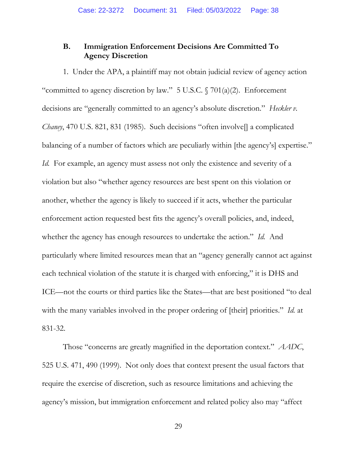### **B. Immigration Enforcement Decisions Are Committed To Agency Discretion**

1. Under the APA, a plaintiff may not obtain judicial review of agency action "committed to agency discretion by law."  $5 \text{ U.S.C. }$   $\sqrt{701(a)(2)}$ . Enforcement decisions are "generally committed to an agency's absolute discretion." *Heckler v. Chaney*, 470 U.S. 821, 831 (1985). Such decisions "often involve[] a complicated balancing of a number of factors which are peculiarly within [the agency's] expertise." *Id.* For example, an agency must assess not only the existence and severity of a violation but also "whether agency resources are best spent on this violation or another, whether the agency is likely to succeed if it acts, whether the particular enforcement action requested best fits the agency's overall policies, and, indeed, whether the agency has enough resources to undertake the action." *Id.* And particularly where limited resources mean that an "agency generally cannot act against each technical violation of the statute it is charged with enforcing," it is DHS and ICE—not the courts or third parties like the States—that are best positioned "to deal with the many variables involved in the proper ordering of [their] priorities." *Id.* at 831-32.

Those "concerns are greatly magnified in the deportation context." *AADC*, 525 U.S. 471, 490 (1999). Not only does that context present the usual factors that require the exercise of discretion, such as resource limitations and achieving the agency's mission, but immigration enforcement and related policy also may "affect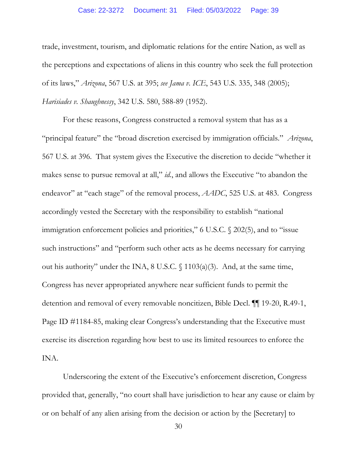trade, investment, tourism, and diplomatic relations for the entire Nation, as well as the perceptions and expectations of aliens in this country who seek the full protection of its laws," *Arizona*, 567 U.S. at 395; *see Jama v. ICE*, 543 U.S. 335, 348 (2005); *Harisiades v. Shaughnessy*, 342 U.S. 580, 588-89 (1952).

For these reasons, Congress constructed a removal system that has as a "principal feature" the "broad discretion exercised by immigration officials." *Arizona*, 567 U.S. at 396. That system gives the Executive the discretion to decide "whether it makes sense to pursue removal at all," *id.*, and allows the Executive "to abandon the endeavor" at "each stage" of the removal process, *AADC*, 525 U.S. at 483. Congress accordingly vested the Secretary with the responsibility to establish "national immigration enforcement policies and priorities," 6 U.S.C. § 202(5), and to "issue such instructions" and "perform such other acts as he deems necessary for carrying out his authority" under the INA, 8 U.S.C. § 1103(a)(3). And, at the same time, Congress has never appropriated anywhere near sufficient funds to permit the detention and removal of every removable noncitizen, Bible Decl. ¶¶ 19-20, R.49-1, Page ID #1184-85, making clear Congress's understanding that the Executive must exercise its discretion regarding how best to use its limited resources to enforce the INA.

Underscoring the extent of the Executive's enforcement discretion, Congress provided that, generally, "no court shall have jurisdiction to hear any cause or claim by or on behalf of any alien arising from the decision or action by the [Secretary] to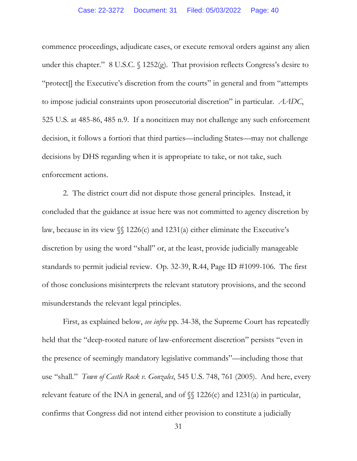commence proceedings, adjudicate cases, or execute removal orders against any alien under this chapter."  $8 \text{ U.S.C.} \$  1252(g). That provision reflects Congress's desire to "protect[] the Executive's discretion from the courts" in general and from "attempts to impose judicial constraints upon prosecutorial discretion" in particular. *AADC*, 525 U.S. at 485-86, 485 n.9. If a noncitizen may not challenge any such enforcement decision, it follows a fortiori that third parties—including States—may not challenge decisions by DHS regarding when it is appropriate to take, or not take, such enforcement actions.

2. The district court did not dispute those general principles. Instead, it concluded that the guidance at issue here was not committed to agency discretion by law, because in its view  $\mathcal{S}$  1226(c) and 1231(a) either eliminate the Executive's discretion by using the word "shall" or, at the least, provide judicially manageable standards to permit judicial review. Op. 32-39, R.44, Page ID #1099-106. The first of those conclusions misinterprets the relevant statutory provisions, and the second misunderstands the relevant legal principles.

First, as explained below, *see infra* pp. 34-38, the Supreme Court has repeatedly held that the "deep-rooted nature of law-enforcement discretion" persists "even in the presence of seemingly mandatory legislative commands"—including those that use "shall." *Town of Castle Rock v. Gonzales*, 545 U.S. 748, 761 (2005). And here, every relevant feature of the INA in general, and of  $\{\}$  1226(c) and 1231(a) in particular, confirms that Congress did not intend either provision to constitute a judicially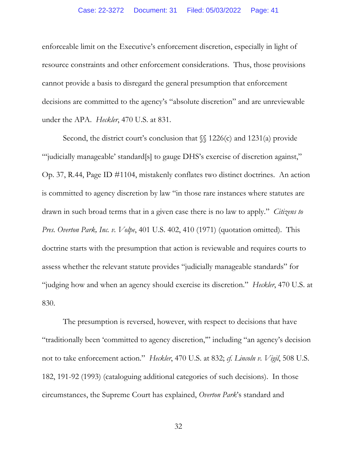enforceable limit on the Executive's enforcement discretion, especially in light of resource constraints and other enforcement considerations. Thus, those provisions cannot provide a basis to disregard the general presumption that enforcement decisions are committed to the agency's "absolute discretion" and are unreviewable under the APA. *Heckler*, 470 U.S. at 831.

Second, the district court's conclusion that  $\mathcal{S}$  1226(c) and 1231(a) provide "'judicially manageable' standard[s] to gauge DHS's exercise of discretion against," Op. 37, R.44, Page ID #1104, mistakenly conflates two distinct doctrines. An action is committed to agency discretion by law "in those rare instances where statutes are drawn in such broad terms that in a given case there is no law to apply." *Citizens to Pres. Overton Park, Inc. v. Volpe*, 401 U.S. 402, 410 (1971) (quotation omitted). This doctrine starts with the presumption that action is reviewable and requires courts to assess whether the relevant statute provides "judicially manageable standards" for "judging how and when an agency should exercise its discretion." *Heckler*, 470 U.S. at 830.

The presumption is reversed, however, with respect to decisions that have "traditionally been 'committed to agency discretion,'" including "an agency's decision not to take enforcement action." *Heckler*, 470 U.S. at 832; *cf. Lincoln v. Vigil*, 508 U.S. 182, 191-92 (1993) (cataloguing additional categories of such decisions). In those circumstances, the Supreme Court has explained, *Overton Park*'s standard and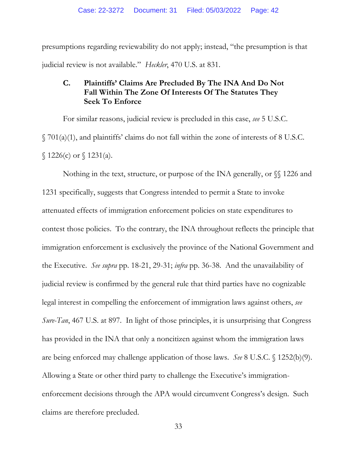presumptions regarding reviewability do not apply; instead, "the presumption is that judicial review is not available." *Heckler*, 470 U.S. at 831.

### **C. Plaintiffs' Claims Are Precluded By The INA And Do Not Fall Within The Zone Of Interests Of The Statutes They Seek To Enforce**

For similar reasons, judicial review is precluded in this case, *see* 5 U.S.C. § 701(a)(1), and plaintiffs' claims do not fall within the zone of interests of 8 U.S.C.  $$ 1226(c)$  or  $$ 1231(a).$ 

Nothing in the text, structure, or purpose of the INA generally, or  $\mathcal{S}$  1226 and 1231 specifically, suggests that Congress intended to permit a State to invoke attenuated effects of immigration enforcement policies on state expenditures to contest those policies. To the contrary, the INA throughout reflects the principle that immigration enforcement is exclusively the province of the National Government and the Executive. *See supra* pp. 18-21, 29-31; *infra* pp. 36-38. And the unavailability of judicial review is confirmed by the general rule that third parties have no cognizable legal interest in compelling the enforcement of immigration laws against others, *see Sure-Tan*, 467 U.S. at 897. In light of those principles, it is unsurprising that Congress has provided in the INA that only a noncitizen against whom the immigration laws are being enforced may challenge application of those laws. *See* 8 U.S.C. § 1252(b)(9). Allowing a State or other third party to challenge the Executive's immigrationenforcement decisions through the APA would circumvent Congress's design. Such claims are therefore precluded.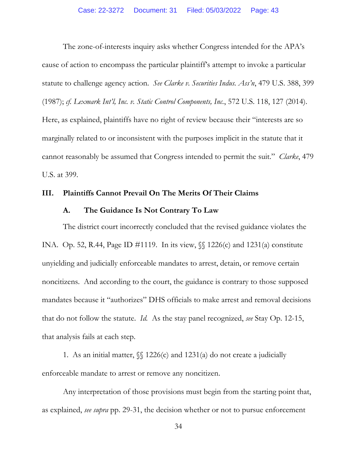The zone-of-interests inquiry asks whether Congress intended for the APA's cause of action to encompass the particular plaintiff's attempt to invoke a particular statute to challenge agency action. *See Clarke v. Securities Indus. Ass'n*, 479 U.S. 388, 399 (1987); *cf. Lexmark Int'l, Inc. v. Static Control Components, Inc.*, 572 U.S. 118, 127 (2014). Here, as explained, plaintiffs have no right of review because their "interests are so marginally related to or inconsistent with the purposes implicit in the statute that it cannot reasonably be assumed that Congress intended to permit the suit." *Clarke*, 479 U.S. at 399.

### **III. Plaintiffs Cannot Prevail On The Merits Of Their Claims**

#### **A. The Guidance Is Not Contrary To Law**

The district court incorrectly concluded that the revised guidance violates the INA. Op. 52, R.44, Page ID #1119. In its view, §§ 1226(c) and 1231(a) constitute unyielding and judicially enforceable mandates to arrest, detain, or remove certain noncitizens. And according to the court, the guidance is contrary to those supposed mandates because it "authorizes" DHS officials to make arrest and removal decisions that do not follow the statute. *Id.* As the stay panel recognized, *see* Stay Op. 12-15, that analysis fails at each step.

1. As an initial matter,  $\sqrt{\ }$  1226(c) and 1231(a) do not create a judicially enforceable mandate to arrest or remove any noncitizen.

Any interpretation of those provisions must begin from the starting point that, as explained, *see supra* pp. 29-31, the decision whether or not to pursue enforcement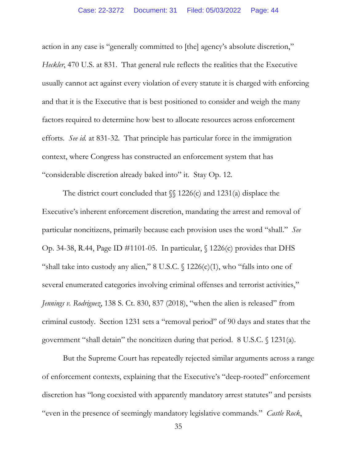action in any case is "generally committed to [the] agency's absolute discretion," *Heckler*, 470 U.S. at 831. That general rule reflects the realities that the Executive usually cannot act against every violation of every statute it is charged with enforcing and that it is the Executive that is best positioned to consider and weigh the many factors required to determine how best to allocate resources across enforcement efforts. *See id.* at 831-32. That principle has particular force in the immigration context, where Congress has constructed an enforcement system that has "considerable discretion already baked into" it. Stay Op. 12.

The district court concluded that  $\mathcal{S}$  1226(c) and 1231(a) displace the Executive's inherent enforcement discretion, mandating the arrest and removal of particular noncitizens, primarily because each provision uses the word "shall." *See*  Op. 34-38, R.44, Page ID #1101-05. In particular, § 1226(c) provides that DHS "shall take into custody any alien," 8 U.S.C.  $\int$  1226(c)(1), who "falls into one of several enumerated categories involving criminal offenses and terrorist activities," *Jennings v. Rodriguez*, 138 S. Ct. 830, 837 (2018), "when the alien is released" from criminal custody. Section 1231 sets a "removal period" of 90 days and states that the government "shall detain" the noncitizen during that period. 8 U.S.C. § 1231(a).

But the Supreme Court has repeatedly rejected similar arguments across a range of enforcement contexts, explaining that the Executive's "deep-rooted" enforcement discretion has "long coexisted with apparently mandatory arrest statutes" and persists "even in the presence of seemingly mandatory legislative commands." *Castle Rock*,

<sup>35</sup>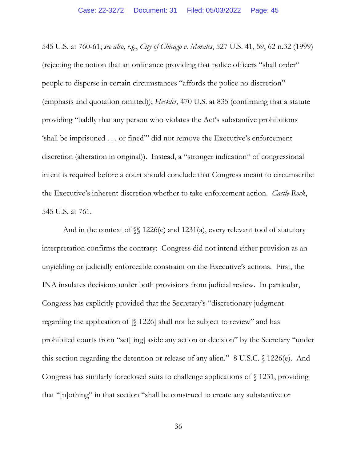545 U.S. at 760-61; *see also, e.g.*, *City of Chicago v. Morales*, 527 U.S. 41, 59, 62 n.32 (1999) (rejecting the notion that an ordinance providing that police officers "shall order" people to disperse in certain circumstances "affords the police no discretion" (emphasis and quotation omitted)); *Heckler*, 470 U.S. at 835 (confirming that a statute providing "baldly that any person who violates the Act's substantive prohibitions 'shall be imprisoned . . . or fined'" did not remove the Executive's enforcement discretion (alteration in original)). Instead, a "stronger indication" of congressional intent is required before a court should conclude that Congress meant to circumscribe the Executive's inherent discretion whether to take enforcement action. *Castle Rock*, 545 U.S. at 761.

And in the context of  $\mathcal{S}$  1226(c) and 1231(a), every relevant tool of statutory interpretation confirms the contrary: Congress did not intend either provision as an unyielding or judicially enforceable constraint on the Executive's actions. First, the INA insulates decisions under both provisions from judicial review. In particular, Congress has explicitly provided that the Secretary's "discretionary judgment regarding the application of [§ 1226] shall not be subject to review" and has prohibited courts from "set[ting] aside any action or decision" by the Secretary "under this section regarding the detention or release of any alien." 8 U.S.C. § 1226(e). And Congress has similarly foreclosed suits to challenge applications of § 1231, providing that "[n]othing" in that section "shall be construed to create any substantive or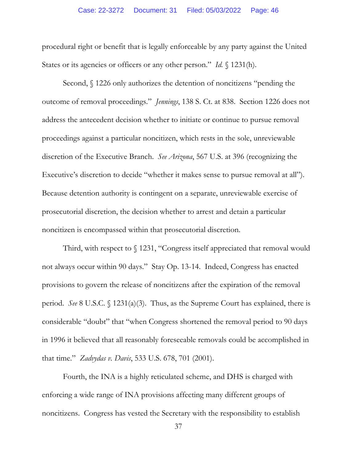procedural right or benefit that is legally enforceable by any party against the United States or its agencies or officers or any other person." *Id.* § 1231(h).

Second,  $\S$  1226 only authorizes the detention of noncitizens "pending the outcome of removal proceedings." *Jennings*, 138 S. Ct. at 838. Section 1226 does not address the antecedent decision whether to initiate or continue to pursue removal proceedings against a particular noncitizen, which rests in the sole, unreviewable discretion of the Executive Branch. *See Arizona*, 567 U.S. at 396 (recognizing the Executive's discretion to decide "whether it makes sense to pursue removal at all"). Because detention authority is contingent on a separate, unreviewable exercise of prosecutorial discretion, the decision whether to arrest and detain a particular noncitizen is encompassed within that prosecutorial discretion.

Third, with respect to § 1231, "Congress itself appreciated that removal would not always occur within 90 days." Stay Op. 13-14. Indeed, Congress has enacted provisions to govern the release of noncitizens after the expiration of the removal period. *See* 8 U.S.C. § 1231(a)(3). Thus, as the Supreme Court has explained, there is considerable "doubt" that "when Congress shortened the removal period to 90 days in 1996 it believed that all reasonably foreseeable removals could be accomplished in that time." *Zadvydas v. Davis*, 533 U.S. 678, 701 (2001).

Fourth, the INA is a highly reticulated scheme, and DHS is charged with enforcing a wide range of INA provisions affecting many different groups of noncitizens. Congress has vested the Secretary with the responsibility to establish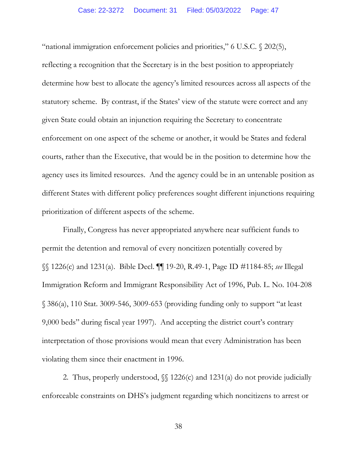"national immigration enforcement policies and priorities," 6 U.S.C. § 202(5), reflecting a recognition that the Secretary is in the best position to appropriately determine how best to allocate the agency's limited resources across all aspects of the statutory scheme. By contrast, if the States' view of the statute were correct and any given State could obtain an injunction requiring the Secretary to concentrate enforcement on one aspect of the scheme or another, it would be States and federal courts, rather than the Executive, that would be in the position to determine how the agency uses its limited resources. And the agency could be in an untenable position as different States with different policy preferences sought different injunctions requiring prioritization of different aspects of the scheme.

Finally, Congress has never appropriated anywhere near sufficient funds to permit the detention and removal of every noncitizen potentially covered by §§ 1226(c) and 1231(a). Bible Decl. ¶¶ 19-20, R.49-1, Page ID #1184-85; *see* Illegal Immigration Reform and Immigrant Responsibility Act of 1996, Pub. L. No. 104-208 § 386(a), 110 Stat. 3009-546, 3009-653 (providing funding only to support "at least 9,000 beds" during fiscal year 1997). And accepting the district court's contrary interpretation of those provisions would mean that every Administration has been violating them since their enactment in 1996.

2. Thus, properly understood,  $\sqrt{\ }$  1226(c) and 1231(a) do not provide judicially enforceable constraints on DHS's judgment regarding which noncitizens to arrest or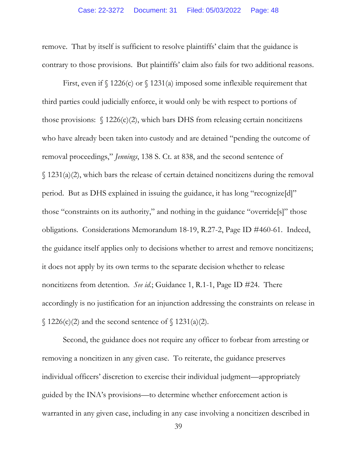remove. That by itself is sufficient to resolve plaintiffs' claim that the guidance is contrary to those provisions. But plaintiffs' claim also fails for two additional reasons.

First, even if  $\int$  1226(c) or  $\int$  1231(a) imposed some inflexible requirement that third parties could judicially enforce, it would only be with respect to portions of those provisions:  $\int$  1226(c)(2), which bars DHS from releasing certain noncitizens who have already been taken into custody and are detained "pending the outcome of removal proceedings," *Jennings*, 138 S. Ct. at 838, and the second sentence of § 1231(a)(2), which bars the release of certain detained noncitizens during the removal period. But as DHS explained in issuing the guidance, it has long "recognize[d]" those "constraints on its authority," and nothing in the guidance "override[s]" those obligations. Considerations Memorandum 18-19, R.27-2, Page ID #460-61. Indeed, the guidance itself applies only to decisions whether to arrest and remove noncitizens; it does not apply by its own terms to the separate decision whether to release noncitizens from detention. *See id.*; Guidance 1, R.1-1, Page ID #24. There accordingly is no justification for an injunction addressing the constraints on release in  $\{(1226(c)(2) \text{ and the second sentence of } \{(1231(a)(2))\}$ .

Second, the guidance does not require any officer to forbear from arresting or removing a noncitizen in any given case. To reiterate, the guidance preserves individual officers' discretion to exercise their individual judgment—appropriately guided by the INA's provisions—to determine whether enforcement action is warranted in any given case, including in any case involving a noncitizen described in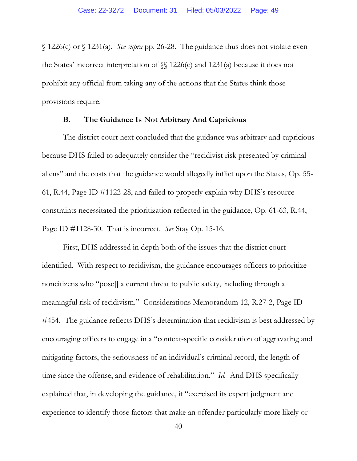§ 1226(c) or § 1231(a). *See supra* pp. 26-28. The guidance thus does not violate even the States' incorrect interpretation of  $\mathcal{S}$  1226(c) and 1231(a) because it does not prohibit any official from taking any of the actions that the States think those provisions require.

#### **B. The Guidance Is Not Arbitrary And Capricious**

The district court next concluded that the guidance was arbitrary and capricious because DHS failed to adequately consider the "recidivist risk presented by criminal aliens" and the costs that the guidance would allegedly inflict upon the States, Op. 55- 61, R.44, Page ID #1122-28, and failed to properly explain why DHS's resource constraints necessitated the prioritization reflected in the guidance, Op. 61-63, R.44, Page ID #1128-30. That is incorrect. *See* Stay Op. 15-16.

First, DHS addressed in depth both of the issues that the district court identified. With respect to recidivism, the guidance encourages officers to prioritize noncitizens who "pose[] a current threat to public safety, including through a meaningful risk of recidivism." Considerations Memorandum 12, R.27-2, Page ID #454. The guidance reflects DHS's determination that recidivism is best addressed by encouraging officers to engage in a "context-specific consideration of aggravating and mitigating factors, the seriousness of an individual's criminal record, the length of time since the offense, and evidence of rehabilitation." *Id.* And DHS specifically explained that, in developing the guidance, it "exercised its expert judgment and experience to identify those factors that make an offender particularly more likely or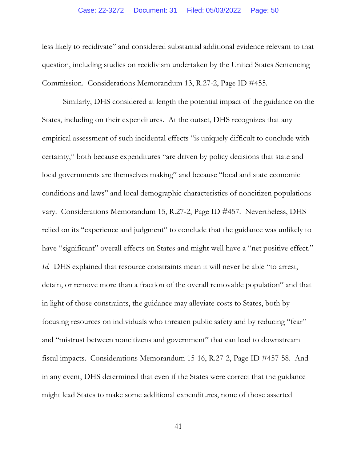less likely to recidivate" and considered substantial additional evidence relevant to that question, including studies on recidivism undertaken by the United States Sentencing Commission. Considerations Memorandum 13, R.27-2, Page ID #455.

Similarly, DHS considered at length the potential impact of the guidance on the States, including on their expenditures. At the outset, DHS recognizes that any empirical assessment of such incidental effects "is uniquely difficult to conclude with certainty," both because expenditures "are driven by policy decisions that state and local governments are themselves making" and because "local and state economic conditions and laws" and local demographic characteristics of noncitizen populations vary. Considerations Memorandum 15, R.27-2, Page ID #457. Nevertheless, DHS relied on its "experience and judgment" to conclude that the guidance was unlikely to have "significant" overall effects on States and might well have a "net positive effect." *Id.* DHS explained that resource constraints mean it will never be able "to arrest, detain, or remove more than a fraction of the overall removable population" and that in light of those constraints, the guidance may alleviate costs to States, both by focusing resources on individuals who threaten public safety and by reducing "fear" and "mistrust between noncitizens and government" that can lead to downstream fiscal impacts. Considerations Memorandum 15-16, R.27-2, Page ID #457-58. And in any event, DHS determined that even if the States were correct that the guidance might lead States to make some additional expenditures, none of those asserted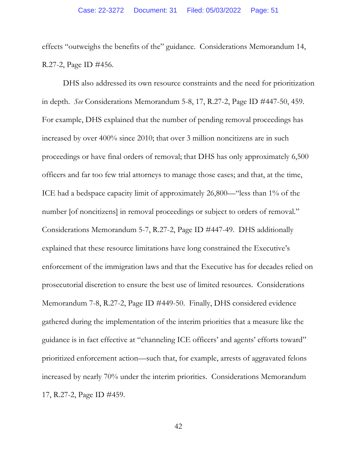effects "outweighs the benefits of the" guidance. Considerations Memorandum 14, R.27-2, Page ID #456.

DHS also addressed its own resource constraints and the need for prioritization in depth. *See* Considerations Memorandum 5-8, 17, R.27-2, Page ID #447-50, 459. For example, DHS explained that the number of pending removal proceedings has increased by over 400% since 2010; that over 3 million noncitizens are in such proceedings or have final orders of removal; that DHS has only approximately 6,500 officers and far too few trial attorneys to manage those cases; and that, at the time, ICE had a bedspace capacity limit of approximately 26,800—"less than 1% of the number [of noncitizens] in removal proceedings or subject to orders of removal." Considerations Memorandum 5-7, R.27-2, Page ID #447-49. DHS additionally explained that these resource limitations have long constrained the Executive's enforcement of the immigration laws and that the Executive has for decades relied on prosecutorial discretion to ensure the best use of limited resources. Considerations Memorandum 7-8, R.27-2, Page ID #449-50. Finally, DHS considered evidence gathered during the implementation of the interim priorities that a measure like the guidance is in fact effective at "channeling ICE officers' and agents' efforts toward" prioritized enforcement action—such that, for example, arrests of aggravated felons increased by nearly 70% under the interim priorities. Considerations Memorandum 17, R.27-2, Page ID #459.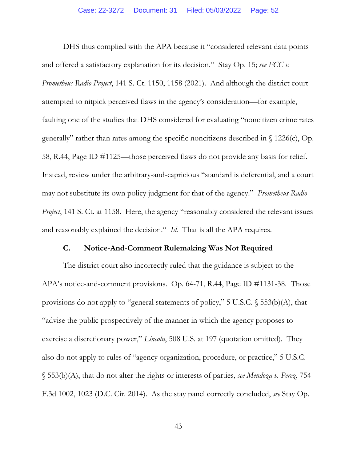DHS thus complied with the APA because it "considered relevant data points and offered a satisfactory explanation for its decision." Stay Op. 15; *see FCC v. Prometheus Radio Project*, 141 S. Ct. 1150, 1158 (2021). And although the district court attempted to nitpick perceived flaws in the agency's consideration—for example, faulting one of the studies that DHS considered for evaluating "noncitizen crime rates generally" rather than rates among the specific noncitizens described in § 1226(c), Op. 58, R.44, Page ID #1125—those perceived flaws do not provide any basis for relief. Instead, review under the arbitrary-and-capricious "standard is deferential, and a court may not substitute its own policy judgment for that of the agency." *Prometheus Radio Project*, 141 S. Ct. at 1158. Here, the agency "reasonably considered the relevant issues and reasonably explained the decision." *Id.* That is all the APA requires.

#### **C. Notice-And-Comment Rulemaking Was Not Required**

The district court also incorrectly ruled that the guidance is subject to the APA's notice-and-comment provisions. Op. 64-71, R.44, Page ID #1131-38. Those provisions do not apply to "general statements of policy," 5 U.S.C. § 553(b)(A), that "advise the public prospectively of the manner in which the agency proposes to exercise a discretionary power," *Lincoln*, 508 U.S. at 197 (quotation omitted). They also do not apply to rules of "agency organization, procedure, or practice," 5 U.S.C. § 553(b)(A), that do not alter the rights or interests of parties, *see Mendoza v. Perez*, 754 F.3d 1002, 1023 (D.C. Cir. 2014). As the stay panel correctly concluded, *see* Stay Op.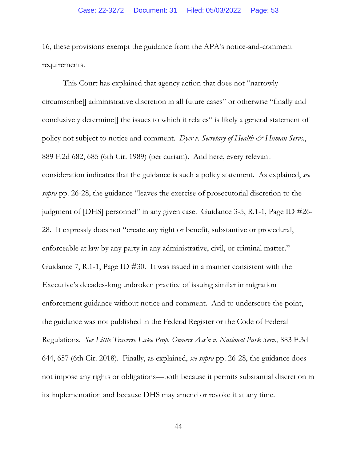16, these provisions exempt the guidance from the APA's notice-and-comment requirements.

This Court has explained that agency action that does not "narrowly circumscribe[] administrative discretion in all future cases" or otherwise "finally and conclusively determine[] the issues to which it relates" is likely a general statement of policy not subject to notice and comment. *Dyer v. Secretary of Health & Human Servs.*, 889 F.2d 682, 685 (6th Cir. 1989) (per curiam). And here, every relevant consideration indicates that the guidance is such a policy statement. As explained, *see supra* pp. 26-28, the guidance "leaves the exercise of prosecutorial discretion to the judgment of [DHS] personnel" in any given case. Guidance 3-5, R.1-1, Page ID #26- 28. It expressly does not "create any right or benefit, substantive or procedural, enforceable at law by any party in any administrative, civil, or criminal matter." Guidance 7, R.1-1, Page ID #30. It was issued in a manner consistent with the Executive's decades-long unbroken practice of issuing similar immigration enforcement guidance without notice and comment. And to underscore the point, the guidance was not published in the Federal Register or the Code of Federal Regulations. *See Little Traverse Lake Prop. Owners Ass'n v. National Park Serv.*, 883 F.3d 644, 657 (6th Cir. 2018). Finally, as explained, *see supra* pp. 26-28, the guidance does not impose any rights or obligations—both because it permits substantial discretion in its implementation and because DHS may amend or revoke it at any time.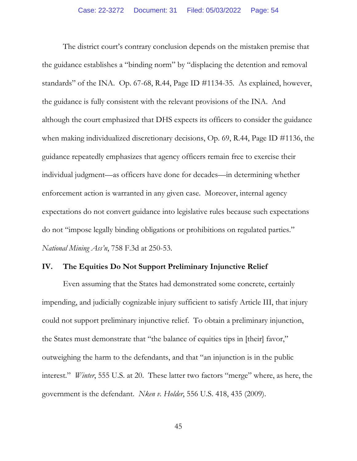The district court's contrary conclusion depends on the mistaken premise that the guidance establishes a "binding norm" by "displacing the detention and removal standards" of the INA. Op. 67-68, R.44, Page ID #1134-35. As explained, however, the guidance is fully consistent with the relevant provisions of the INA. And although the court emphasized that DHS expects its officers to consider the guidance when making individualized discretionary decisions, Op. 69, R.44, Page ID #1136, the guidance repeatedly emphasizes that agency officers remain free to exercise their individual judgment—as officers have done for decades—in determining whether enforcement action is warranted in any given case. Moreover, internal agency expectations do not convert guidance into legislative rules because such expectations do not "impose legally binding obligations or prohibitions on regulated parties." *National Mining Ass'n*, 758 F.3d at 250-53.

#### **IV. The Equities Do Not Support Preliminary Injunctive Relief**

Even assuming that the States had demonstrated some concrete, certainly impending, and judicially cognizable injury sufficient to satisfy Article III, that injury could not support preliminary injunctive relief. To obtain a preliminary injunction, the States must demonstrate that "the balance of equities tips in [their] favor," outweighing the harm to the defendants, and that "an injunction is in the public interest." *Winter*, 555 U.S. at 20. These latter two factors "merge" where, as here, the government is the defendant. *Nken v. Holder*, 556 U.S. 418, 435 (2009).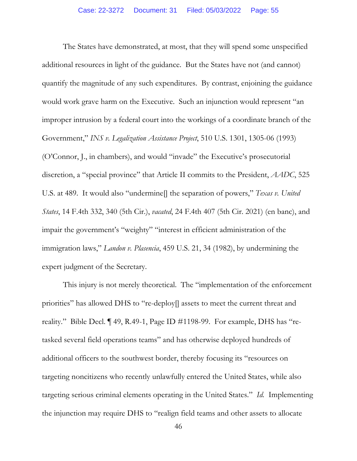The States have demonstrated, at most, that they will spend some unspecified additional resources in light of the guidance. But the States have not (and cannot) quantify the magnitude of any such expenditures. By contrast, enjoining the guidance would work grave harm on the Executive. Such an injunction would represent "an improper intrusion by a federal court into the workings of a coordinate branch of the Government," *INS v. Legalization Assistance Project*, 510 U.S. 1301, 1305-06 (1993) (O'Connor, J., in chambers), and would "invade" the Executive's prosecutorial discretion, a "special province" that Article II commits to the President, *AADC*, 525 U.S. at 489. It would also "undermine[] the separation of powers," *Texas v. United States*, 14 F.4th 332, 340 (5th Cir.), *vacated*, 24 F.4th 407 (5th Cir. 2021) (en banc), and impair the government's "weighty" "interest in efficient administration of the immigration laws," *Landon v. Plasencia*, 459 U.S. 21, 34 (1982), by undermining the expert judgment of the Secretary.

This injury is not merely theoretical. The "implementation of the enforcement priorities" has allowed DHS to "re-deploy[] assets to meet the current threat and reality." Bible Decl. ¶ 49, R.49-1, Page ID #1198-99. For example, DHS has "retasked several field operations teams" and has otherwise deployed hundreds of additional officers to the southwest border, thereby focusing its "resources on targeting noncitizens who recently unlawfully entered the United States, while also targeting serious criminal elements operating in the United States." *Id.* Implementing the injunction may require DHS to "realign field teams and other assets to allocate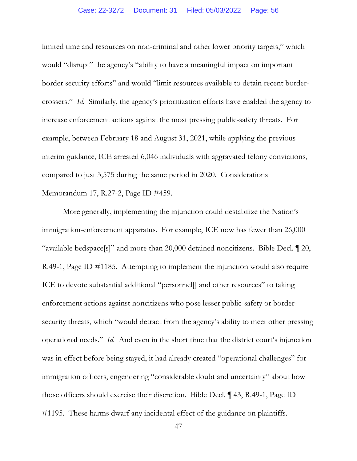limited time and resources on non-criminal and other lower priority targets," which would "disrupt" the agency's "ability to have a meaningful impact on important border security efforts" and would "limit resources available to detain recent bordercrossers." *Id.* Similarly, the agency's prioritization efforts have enabled the agency to increase enforcement actions against the most pressing public-safety threats. For example, between February 18 and August 31, 2021, while applying the previous interim guidance, ICE arrested 6,046 individuals with aggravated felony convictions, compared to just 3,575 during the same period in 2020. Considerations Memorandum 17, R.27-2, Page ID #459.

More generally, implementing the injunction could destabilize the Nation's immigration-enforcement apparatus. For example, ICE now has fewer than 26,000 "available bedspace[s]" and more than 20,000 detained noncitizens. Bible Decl. ¶ 20, R.49-1, Page ID #1185. Attempting to implement the injunction would also require ICE to devote substantial additional "personnel<sup>[]</sup> and other resources" to taking enforcement actions against noncitizens who pose lesser public-safety or bordersecurity threats, which "would detract from the agency's ability to meet other pressing operational needs." *Id.* And even in the short time that the district court's injunction was in effect before being stayed, it had already created "operational challenges" for immigration officers, engendering "considerable doubt and uncertainty" about how those officers should exercise their discretion. Bible Decl. ¶ 43, R.49-1, Page ID #1195. These harms dwarf any incidental effect of the guidance on plaintiffs.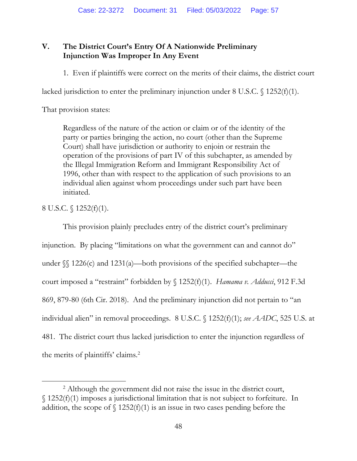### **V. The District Court's Entry Of A Nationwide Preliminary Injunction Was Improper In Any Event**

1. Even if plaintiffs were correct on the merits of their claims, the district court

lacked jurisdiction to enter the preliminary injunction under  $8 \text{ U.S.C. } \frac{1252(f)(1)}{2}$ .

That provision states:

Regardless of the nature of the action or claim or of the identity of the party or parties bringing the action, no court (other than the Supreme Court) shall have jurisdiction or authority to enjoin or restrain the operation of the provisions of part IV of this subchapter, as amended by the Illegal Immigration Reform and Immigrant Responsibility Act of 1996, other than with respect to the application of such provisions to an individual alien against whom proceedings under such part have been initiated.

8 U.S.C. § 1252(f)(1).

 $\overline{a}$ 

This provision plainly precludes entry of the district court's preliminary injunction. By placing "limitations on what the government can and cannot do" under  $\mathcal{S}$  1226(c) and 1231(a)—both provisions of the specified subchapter—the court imposed a "restraint" forbidden by § 1252(f)(1). *Hamama v. Adducci*, 912 F.3d 869, 879-80 (6th Cir. 2018). And the preliminary injunction did not pertain to "an individual alien" in removal proceedings. 8 U.S.C. § 1252(f)(1); *see AADC*, 525 U.S. at 481. The district court thus lacked jurisdiction to enter the injunction regardless of the merits of plaintiffs' claims.2

<sup>&</sup>lt;sup>2</sup> Although the government did not raise the issue in the district court, § 1252(f)(1) imposes a jurisdictional limitation that is not subject to forfeiture. In addition, the scope of  $\S$  1252(f)(1) is an issue in two cases pending before the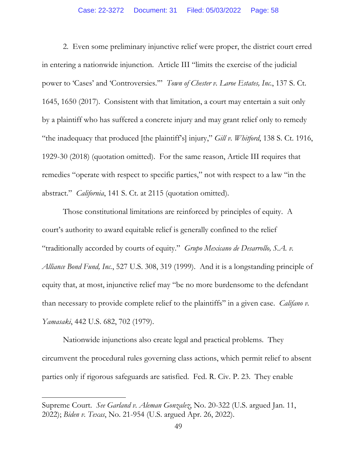2. Even some preliminary injunctive relief were proper, the district court erred in entering a nationwide injunction. Article III "limits the exercise of the judicial power to 'Cases' and 'Controversies.'" *Town of Chester v. Laroe Estates, Inc.*, 137 S. Ct. 1645, 1650 (2017). Consistent with that limitation, a court may entertain a suit only by a plaintiff who has suffered a concrete injury and may grant relief only to remedy "the inadequacy that produced [the plaintiff's] injury," *Gill v. Whitford*, 138 S. Ct. 1916, 1929-30 (2018) (quotation omitted). For the same reason, Article III requires that remedies "operate with respect to specific parties," not with respect to a law "in the abstract." *California*, 141 S. Ct. at 2115 (quotation omitted).

Those constitutional limitations are reinforced by principles of equity. A court's authority to award equitable relief is generally confined to the relief "traditionally accorded by courts of equity." *Grupo Mexicano de Desarrollo, S.A. v. Alliance Bond Fund, Inc.*, 527 U.S. 308, 319 (1999). And it is a longstanding principle of equity that, at most, injunctive relief may "be no more burdensome to the defendant than necessary to provide complete relief to the plaintiffs" in a given case. *Califano v. Yamasaki*, 442 U.S. 682, 702 (1979).

Nationwide injunctions also create legal and practical problems. They circumvent the procedural rules governing class actions, which permit relief to absent parties only if rigorous safeguards are satisfied. Fed. R. Civ. P. 23. They enable

 $\overline{a}$ 

Supreme Court. *See Garland v. Aleman Gonzalez*, No. 20-322 (U.S. argued Jan. 11, 2022); *Biden v. Texas*, No. 21-954 (U.S. argued Apr. 26, 2022).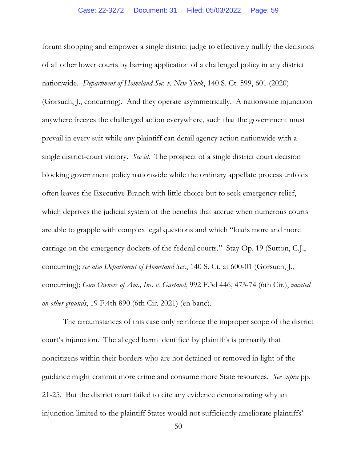forum shopping and empower a single district judge to effectively nullify the decisions of all other lower courts by barring application of a challenged policy in any district nationwide. *Department of Homeland Sec. v. New York*, 140 S. Ct. 599, 601 (2020) (Gorsuch, J., concurring).And they operate asymmetrically. A nationwide injunction anywhere freezes the challenged action everywhere, such that the government must prevail in every suit while any plaintiff can derail agency action nationwide with a single district-court victory. *See id.* The prospect of a single district court decision blocking government policy nationwide while the ordinary appellate process unfolds often leaves the Executive Branch with little choice but to seek emergency relief, which deprives the judicial system of the benefits that accrue when numerous courts are able to grapple with complex legal questions and which "loads more and more carriage on the emergency dockets of the federal courts." Stay Op. 19 (Sutton, C.J., concurring); *see also Department of Homeland Sec.*, 140 S. Ct. at 600-01 (Gorsuch, J., concurring); *Gun Owners of Am., Inc. v. Garland*, 992 F.3d 446, 473-74 (6th Cir.), *vacated on other grounds*, 19 F.4th 890 (6th Cir. 2021) (en banc).

The circumstances of this case only reinforce the improper scope of the district court's injunction. The alleged harm identified by plaintiffs is primarily that noncitizens within their borders who are not detained or removed in light of the guidance might commit more crime and consume more State resources. *See supra* pp. 21-25. But the district court failed to cite any evidence demonstrating why an injunction limited to the plaintiff States would not sufficiently ameliorate plaintiffs'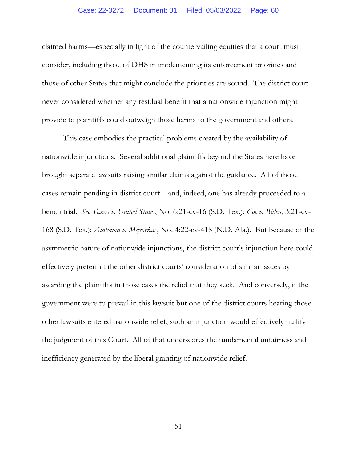claimed harms—especially in light of the countervailing equities that a court must consider, including those of DHS in implementing its enforcement priorities and those of other States that might conclude the priorities are sound. The district court never considered whether any residual benefit that a nationwide injunction might provide to plaintiffs could outweigh those harms to the government and others.

This case embodies the practical problems created by the availability of nationwide injunctions. Several additional plaintiffs beyond the States here have brought separate lawsuits raising similar claims against the guidance. All of those cases remain pending in district court—and, indeed, one has already proceeded to a bench trial. *See Texas v. United States*, No. 6:21-cv-16 (S.D. Tex.); *Coe v. Biden*, 3:21-cv-168 (S.D. Tex.); *Alabama v. Mayorkas*, No. 4:22-cv-418 (N.D. Ala.). But because of the asymmetric nature of nationwide injunctions, the district court's injunction here could effectively pretermit the other district courts' consideration of similar issues by awarding the plaintiffs in those cases the relief that they seek. And conversely, if the government were to prevail in this lawsuit but one of the district courts hearing those other lawsuits entered nationwide relief, such an injunction would effectively nullify the judgment of this Court. All of that underscores the fundamental unfairness and inefficiency generated by the liberal granting of nationwide relief.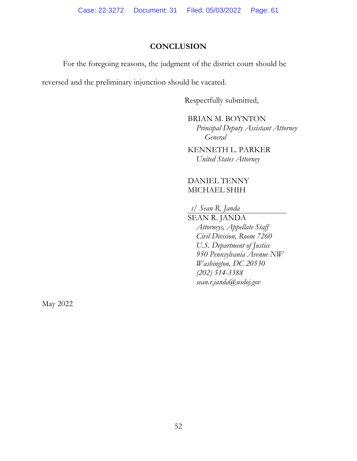### **CONCLUSION**

For the foregoing reasons, the judgment of the district court should be

reversed and the preliminary injunction should be vacated.

Respectfully submitted,

BRIAN M. BOYNTON *Principal Deputy Assistant Attorney General* 

KENNETH L. PARKER *United States Attorney* 

DANIEL TENNY MICHAEL SHIH

*s/ Sean R. Janda* 

SEAN R. JANDA *Attorneys, Appellate Staff Civil Division, Room 7260 U.S. Department of Justice 950 Pennsylvania Avenue NW Washington, DC 20530 (202) 514-3388 sean.r.janda@usdoj.gov* 

May 2022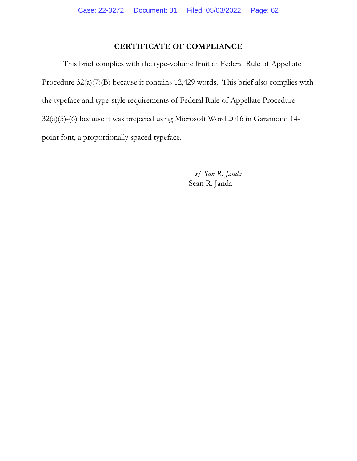### **CERTIFICATE OF COMPLIANCE**

This brief complies with the type-volume limit of Federal Rule of Appellate Procedure  $32(a)(7)(B)$  because it contains 12,429 words. This brief also complies with the typeface and type-style requirements of Federal Rule of Appellate Procedure 32(a)(5)-(6) because it was prepared using Microsoft Word 2016 in Garamond 14 point font, a proportionally spaced typeface.

*s/ San R. Janda* 

Sean R. Janda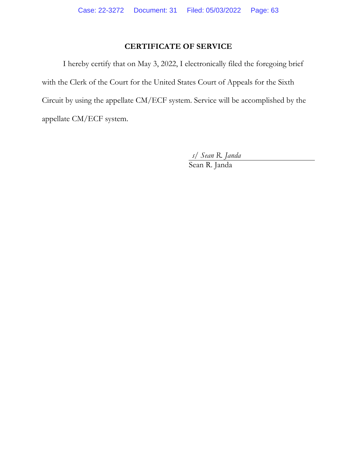### **CERTIFICATE OF SERVICE**

I hereby certify that on May 3, 2022, I electronically filed the foregoing brief with the Clerk of the Court for the United States Court of Appeals for the Sixth Circuit by using the appellate CM/ECF system. Service will be accomplished by the appellate CM/ECF system.

*s/ Sean R. Janda* 

Sean R. Janda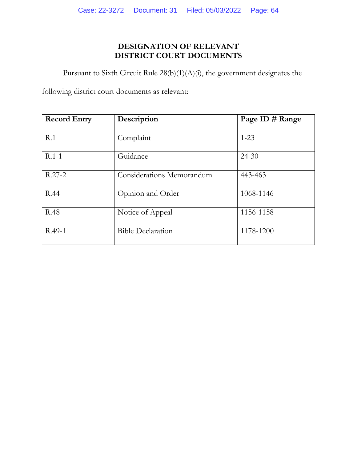## **DESIGNATION OF RELEVANT DISTRICT COURT DOCUMENTS**

Pursuant to Sixth Circuit Rule 28(b)(1)(A)(i), the government designates the

following district court documents as relevant:

| <b>Record Entry</b> | Description               | Page ID # Range |
|---------------------|---------------------------|-----------------|
| R.1                 | Complaint                 | $1 - 23$        |
| $R.1-1$             | Guidance                  | $24 - 30$       |
| $R.27-2$            | Considerations Memorandum | 443-463         |
| R.44                | Opinion and Order         | 1068-1146       |
| R.48                | Notice of Appeal          | 1156-1158       |
| R.49-1              | <b>Bible Declaration</b>  | 1178-1200       |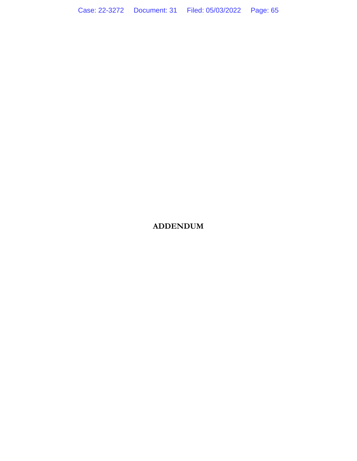**ADDENDUM**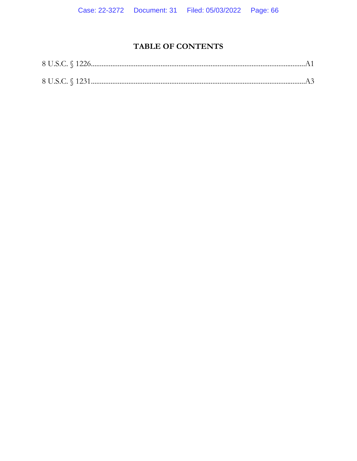# TABLE OF CONTENTS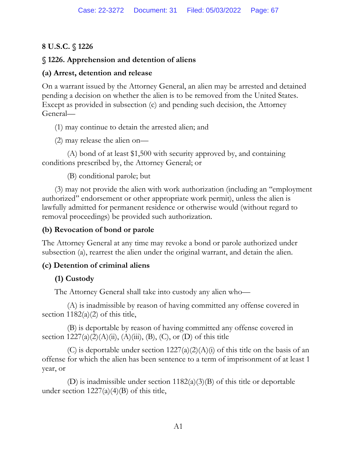# **8 U.S.C. § 1226**

# **§ 1226. Apprehension and detention of aliens**

# **(a) Arrest, detention and release**

On a warrant issued by the Attorney General, an alien may be arrested and detained pending a decision on whether the alien is to be removed from the United States. Except as provided in subsection (c) and pending such decision, the Attorney General—

(1) may continue to detain the arrested alien; and

(2) may release the alien on—

 (A) bond of at least \$1,500 with security approved by, and containing conditions prescribed by, the Attorney General; or

(B) conditional parole; but

 (3) may not provide the alien with work authorization (including an ''employment authorized'' endorsement or other appropriate work permit), unless the alien is lawfully admitted for permanent residence or otherwise would (without regard to removal proceedings) be provided such authorization.

# **(b) Revocation of bond or parole**

The Attorney General at any time may revoke a bond or parole authorized under subsection (a), rearrest the alien under the original warrant, and detain the alien.

# **(c) Detention of criminal aliens**

# **(1) Custody**

The Attorney General shall take into custody any alien who—

 (A) is inadmissible by reason of having committed any offense covered in section  $1182(a)(2)$  of this title,

 (B) is deportable by reason of having committed any offense covered in section  $1227(a)(2)(A)(ii)$ ,  $(A)(iii)$ ,  $(B)$ ,  $(C)$ , or  $(D)$  of this title

(C) is deportable under section  $1227(a)(2)(A)(i)$  of this title on the basis of an offense for which the alien has been sentence to a term of imprisonment of at least 1 year, or

(D) is inadmissible under section  $1182(a)(3)(B)$  of this title or deportable under section  $1227(a)(4)(B)$  of this title,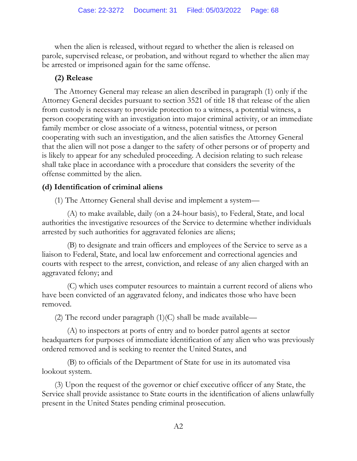when the alien is released, without regard to whether the alien is released on parole, supervised release, or probation, and without regard to whether the alien may be arrested or imprisoned again for the same offense.

## **(2) Release**

 The Attorney General may release an alien described in paragraph (1) only if the Attorney General decides pursuant to section 3521 of title 18 that release of the alien from custody is necessary to provide protection to a witness, a potential witness, a person cooperating with an investigation into major criminal activity, or an immediate family member or close associate of a witness, potential witness, or person cooperating with such an investigation, and the alien satisfies the Attorney General that the alien will not pose a danger to the safety of other persons or of property and is likely to appear for any scheduled proceeding. A decision relating to such release shall take place in accordance with a procedure that considers the severity of the offense committed by the alien.

### **(d) Identification of criminal aliens**

(1) The Attorney General shall devise and implement a system—

 (A) to make available, daily (on a 24-hour basis), to Federal, State, and local authorities the investigative resources of the Service to determine whether individuals arrested by such authorities for aggravated felonies are aliens;

 (B) to designate and train officers and employees of the Service to serve as a liaison to Federal, State, and local law enforcement and correctional agencies and courts with respect to the arrest, conviction, and release of any alien charged with an aggravated felony; and

 (C) which uses computer resources to maintain a current record of aliens who have been convicted of an aggravated felony, and indicates those who have been removed.

(2) The record under paragraph  $(1)(C)$  shall be made available—

 (A) to inspectors at ports of entry and to border patrol agents at sector headquarters for purposes of immediate identification of any alien who was previously ordered removed and is seeking to reenter the United States, and

 (B) to officials of the Department of State for use in its automated visa lookout system.

 (3) Upon the request of the governor or chief executive officer of any State, the Service shall provide assistance to State courts in the identification of aliens unlawfully present in the United States pending criminal prosecution.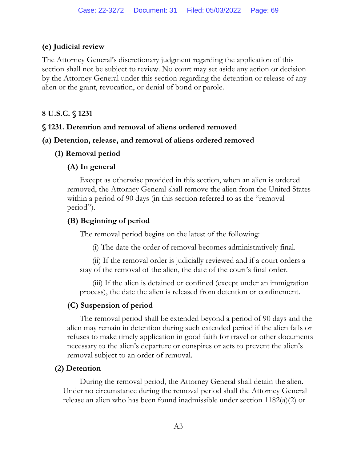## **(e) Judicial review**

The Attorney General's discretionary judgment regarding the application of this section shall not be subject to review. No court may set aside any action or decision by the Attorney General under this section regarding the detention or release of any alien or the grant, revocation, or denial of bond or parole.

# **8 U.S.C. § 1231**

### **§ 1231. Detention and removal of aliens ordered removed**

### **(a) Detention, release, and removal of aliens ordered removed**

### **(1) Removal period**

### **(A) In general**

Except as otherwise provided in this section, when an alien is ordered removed, the Attorney General shall remove the alien from the United States within a period of 90 days (in this section referred to as the "removal" period'').

# **(B) Beginning of period**

The removal period begins on the latest of the following:

(i) The date the order of removal becomes administratively final.

 (ii) If the removal order is judicially reviewed and if a court orders a stay of the removal of the alien, the date of the court's final order.

 (iii) If the alien is detained or confined (except under an immigration process), the date the alien is released from detention or confinement.

## **(C) Suspension of period**

 The removal period shall be extended beyond a period of 90 days and the alien may remain in detention during such extended period if the alien fails or refuses to make timely application in good faith for travel or other documents necessary to the alien's departure or conspires or acts to prevent the alien's removal subject to an order of removal.

## **(2) Detention**

 During the removal period, the Attorney General shall detain the alien. Under no circumstance during the removal period shall the Attorney General release an alien who has been found inadmissible under section 1182(a)(2) or